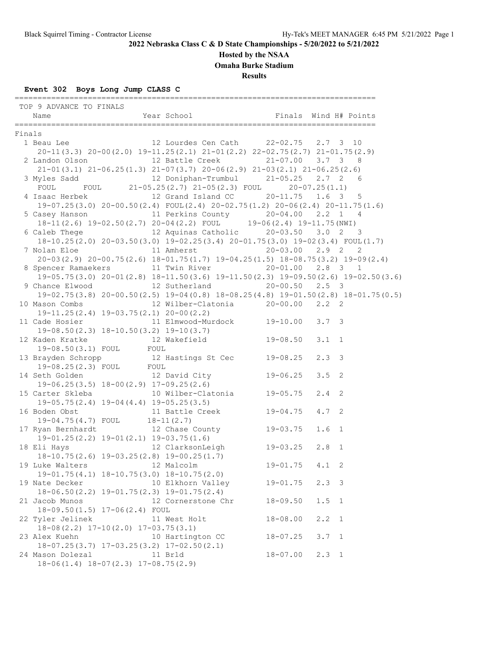#### **Hosted by the NSAA**

**Omaha Burke Stadium**

**Results**

#### **Event 302 Boys Long Jump CLASS C**

 TOP 9 ADVANCE TO FINALS Name Year School Finals Wind H# Points =============================================================================== Finals 1 Beau Lee 12 Lourdes Cen Cath 22-02.75 2.7 3 10 20-11(3.3) 20-00(2.0) 19-11.25(2.1) 21-01(2.2) 22-02.75(2.7) 21-01.75(2.9) 2 Landon Olson 12 Battle Creek 21-07.00 3.7 3 8 21-01(3.1) 21-06.25(1.3) 21-07(3.7) 20-06(2.9) 21-03(2.1) 21-06.25(2.6) 3 Myles Sadd 12 Doniphan-Trumbul 21-05.25 2.7 2 6 FOUL FOUL 21-05.25(2.7) 21-05(2.3) FOUL 20-07.25(1.1) 4 Isaac Herbek 12 Grand Island CC 20-11.75 1.6 3 5 19-07.25(3.0) 20-00.50(2.4) FOUL(2.4) 20-02.75(1.2) 20-06(2.4) 20-11.75(1.6) 5 Casey Hanson 11 Perkins County 20-04.00 2.2 1 4 18-11(2.6) 19-02.50(2.7) 20-04(2.2) FOUL 19-06(2.4) 19-11.75(NWI) 6 Caleb Thege 12 Aquinas Catholic 20-03.50 3.0 2 3 18-10.25(2.0) 20-03.50(3.0) 19-02.25(3.4) 20-01.75(3.0) 19-02(3.4) FOUL(1.7) 7 Nolan Eloe 11 Amherst 20-03.00 2.9 2 2 20-03(2.9) 20-00.75(2.6) 18-01.75(1.7) 19-04.25(1.5) 18-08.75(3.2) 19-09(2.4) 8 Spencer Ramaekers 11 Twin River 20-01.00 2.8 3 1 19-05.75(3.0) 20-01(2.8) 18-11.50(3.6) 19-11.50(2.3) 19-09.50(2.6) 19-02.50(3.6) 9 Chance Elwood 12 Sutherland 20-00.50 2.5 3 19-02.75(3.8) 20-00.50(2.5) 19-04(0.8) 18-08.25(4.8) 19-01.50(2.8) 18-01.75(0.5) 10 Mason Combs 12 Wilber-Clatonia 20-00.00 2.2 2 19-11.25(2.4) 19-03.75(2.1) 20-00(2.2)<br>11 Cade Hosier 11 Elmwood-Murdock 19-10.00 3.7 3 11 Cade Hosier 11 Elmwood-Murdock 19-10.00 3.7 3 19-08.50(2.3) 18-10.50(3.2) 19-10(3.7) 12 Kaden Kratke 12 Wakefield 19-08.50 3.1 1 19-08.50(3.1) FOUL FOUL 13 Brayden Schropp 12 Hastings St Cec 19-08.25 2.3 3 19-08.25(2.3) FOUL FOUL 14 Seth Golden 12 David City 19-06.25 3.5 2 19-06.25(3.5) 18-00(2.9) 17-09.25(2.6) 15 Carter Skleba 10 Wilber-Clatonia 19-05.75 2.4 2<br>19-05.75 2.4 19-05.75 17 19-04 (4.4) 19-05.25 (3.5) 19-05.75(2.4) 19-04(4.4) 19-05.25(3.5) 16 Boden Obst 11 Battle Creek 19-04.75 4.7 2 19-04.75(4.7) FOUL 18-11(2.7) 17 Ryan Bernhardt 12 Chase County 19-03.75 1.6 1 19-01.25(2.2) 19-01(2.1) 19-03.75(1.6) 18 Eli Hays 12 ClarksonLeigh 19-03.25 2.8 1 18-10.75(2.6) 19-03.25(2.8) 19-00.25(1.7) 19 Luke Walters 12 Malcolm 19-01.75 4.1 2 19-01.75(4.1) 18-10.75(3.0) 18-10.75(2.0) 19 Nate Decker 10 Elkhorn Valley 19-01.75 2.3 3<br>19-06 50 (2.3) 19-01.75 (2.3) 19-01.75 (2.4) 18-06.50(2.2) 19-01.75(2.3) 19-01.75(2.4) 21 Jacob Munos 12 Cornerstone Chr 18-09.50 1.5 1 18-09.50(1.5) 17-06(2.4) FOUL 22 Tyler Jelinek 11 West Holt 18-08.00 2.2 1 18-08(2.2) 17-10(2.0) 17-03.75(3.1) 23 Alex Kuehn 10 Hartington CC 18-07.25 3.7 1 18-07.25(3.7) 17-03.25(3.2) 17-02.50(2.1) 24 Mason Dolezal 11 Brld 18-07.00 2.3 1 18-06(1.4) 18-07(2.3) 17-08.75(2.9)

===============================================================================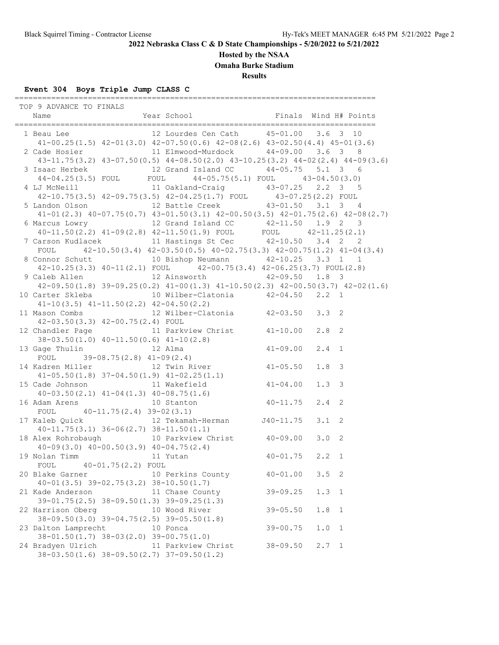### **Hosted by the NSAA**

**Omaha Burke Stadium**

**Results**

# **Event 304 Boys Triple Jump CLASS C**

===============================================================================

| TOP 9 ADVANCE TO FINALS                                                                                                     |                    |              |                       |
|-----------------------------------------------------------------------------------------------------------------------------|--------------------|--------------|-----------------------|
| 1 Beau Lee 12 Lourdes Cen Cath 15-01.00 3.6 3 10                                                                            |                    |              |                       |
| $41-00.25(1.5)$ $42-01(3.0)$ $42-07.50(0.6)$ $42-08(2.6)$ $43-02.50(4.4)$ $45-01(3.6)$                                      |                    |              |                       |
| 2 Cade Hosier 11 Elmwood-Murdock 44-09.00 3.6 3 8                                                                           |                    |              |                       |
| $43-11.75(3.2)$ $43-07.50(0.5)$ $44-08.50(2.0)$ $43-10.25(3.2)$ $44-02(2.4)$ $44-09(3.6)$                                   |                    |              |                       |
|                                                                                                                             |                    |              |                       |
| 3 Isaac Herbek 12 Grand Island CC 44-05.75 5.1 3 6<br>44-04.25(3.5) FOUL FOUL 44-05.75(5.1) FOUL 43-04.50(3.0)              |                    |              |                       |
| 4 LJ McNeill 11 Oakland-Craig 43-07.25 2.2 3 5                                                                              |                    |              |                       |
| 42-10.75(3.5) 42-09.75(3.5) 42-04.25(1.7) FOUL 43-07.25(2.2) FOUL                                                           |                    |              |                       |
| 5 Landon Olson 12 Battle Creek 43-01.50 3.1 3 4                                                                             |                    |              |                       |
| $41-01$ (2.3) $40-07.75$ (0.7) $43-01.50$ (3.1) $42-00.50$ (3.5) $42-01.75$ (2.6) $42-08$ (2.7)                             |                    |              |                       |
| 6 Marcus Lowry<br>40-11.50(2.2) 41-09(2.8) 42-11.50(1.9) FOUL<br>7 Carson Kudlacek<br>11 Hastings St Cec (42-10.50) 3.4 2 2 |                    |              |                       |
|                                                                                                                             |                    |              |                       |
|                                                                                                                             |                    |              |                       |
| FOUL $42-10.50(3.4)$ $42-03.50(0.5)$ $40-02.75(3.3)$ $42-00.75(1.2)$ $41-04(3.4)$                                           |                    |              |                       |
| 8 Connor Schutt 10 Bishop Neumann 42-10.25 3.3 1 1                                                                          |                    |              |                       |
| $42-10.25(3.3)$ $40-11(2.1)$ FOUL $42-00.75(3.4)$ $42-06.25(3.7)$ FOUL(2.8)                                                 |                    |              |                       |
| 9 Caleb Allen 12 Ainsworth 42-09.50 1.8 3                                                                                   |                    |              |                       |
| $42-09.50(1.8)$ $39-09.25(0.2)$ $41-00(1.3)$ $41-10.50(2.3)$ $42-00.50(3.7)$ $42-02(1.6)$                                   |                    |              |                       |
| 10 Carter Skleba    10 Wilber-Clatonia    42-04.50    2.2    1                                                              |                    |              |                       |
| $41-10(3.5)$ $41-11.50(2.2)$ $42-04.50(2.2)$                                                                                |                    |              |                       |
| 11 Mason Combs 3.3 2 Milber-Clatonia 42-03.50 3.3 2                                                                         |                    |              |                       |
| 42-03.50(3.3) 42-00.75(2.4) FOUL                                                                                            |                    |              |                       |
| 12 Chandler Page 11 Parkview Christ 41-10.00 2.8 2                                                                          |                    |              |                       |
| 38-03.50(1.0) $40-11.50(0.6)$ $41-10(2.8)$<br>13 Gage Thulin 12 Alma $41-09.00$                                             |                    |              |                       |
|                                                                                                                             |                    |              | $2.4 \quad 1$         |
| FOUL $39-08.75(2.8)$ $41-09(2.4)$                                                                                           |                    |              |                       |
| 14 Kadren Miller 12 Twin River 41-05.50                                                                                     |                    |              | 1.8 <sup>3</sup>      |
| $41-05.50(1.8)$ $37-04.50(1.9)$ $41-02.25(1.1)$                                                                             |                    |              |                       |
| 15 Cade Johnson 11 Wakefield 41-04.00                                                                                       |                    |              | 1.3 <sup>3</sup>      |
|                                                                                                                             |                    |              | $2.4$ 2               |
| $40-03.50(2.1)$ $41-04(1.3)$ $40-08.75(1.6)$<br>16 Adam Arens 10 Stanton $40-11.75$<br>FOUL $40-11.75(2.4)$ $39-02(3.1)$    |                    |              |                       |
|                                                                                                                             |                    |              |                       |
| $40-11.75(3.1)$ $36-06(2.7)$ $38-11.50(1.1)$                                                                                |                    |              |                       |
| 18 Alex Rohrobaugh 10 Parkview Christ 40-09.00                                                                              |                    |              | 3.0 <sub>2</sub>      |
| Alex Ronrobaugh<br>40-09(3.0) 40-00.50(3.9) 40-04.75(2.4)<br>Molan Timm 11 Yutan 40-01.75 2.2 1                             |                    |              |                       |
| 19 Nolan Timm 11 Yutan                                                                                                      |                    |              |                       |
| FOUL 40-01.75(2.2) FOUL                                                                                                     |                    |              |                       |
| 20 Blake Garner                                                                                                             | 10 Perkins County  | $40 - 01.00$ | $3.5 \quad 2$         |
| $40 - 01(3.5)$ $39 - 02.75(3.2)$ $38 - 10.50(1.7)$                                                                          |                    |              |                       |
| 21 Kade Anderson 11 Chase County                                                                                            |                    | $39 - 09.25$ | 1.3<br>$\overline{1}$ |
| $39-01.75(2.5)$ $38-09.50(1.3)$ $39-09.25(1.3)$                                                                             |                    |              |                       |
| 22 Harrison Oberg                                                                                                           | 10 Wood River      | $39 - 05.50$ | 1.8<br>$\overline{1}$ |
| 38-09.50(3.0) 39-04.75(2.5) 39-05.50(1.8)                                                                                   |                    |              |                       |
| 23 Dalton Lamprecht                                                                                                         | 10 Ponca           | $39 - 00.75$ | 1.0<br>$\mathbf{1}$   |
| $38 - 01.50(1.7)$ $38 - 03(2.0)$ $39 - 00.75(1.0)$                                                                          |                    |              |                       |
| 24 Bradyen Ulrich                                                                                                           | 11 Parkview Christ | $38 - 09.50$ | $2.7 \quad 1$         |
| $38-03.50(1.6)$ $38-09.50(2.7)$ $37-09.50(1.2)$                                                                             |                    |              |                       |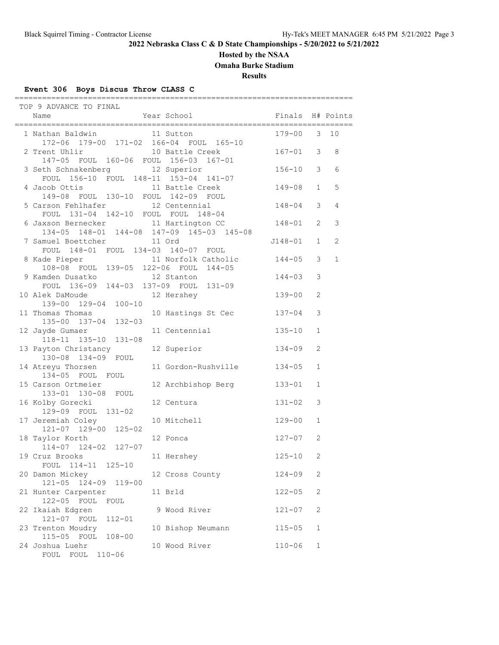### **Hosted by the NSAA**

**Omaha Burke Stadium**

**Results**

### **Event 306 Boys Discus Throw CLASS C**

| TOP 9 ADVANCE TO FINAL<br>Name                                                   | Year School                      | Finals H# Points     |               | ==========   |
|----------------------------------------------------------------------------------|----------------------------------|----------------------|---------------|--------------|
| 1 Nathan Baldwin<br>172-06 179-00 171-02 166-04 FOUL 165-10                      | 11 Sutton                        | $179 - 00$           | $\mathcal{S}$ | 10           |
| 2 Trent Uhlir<br>147-05 FOUL 160-06 FOUL 156-03 167-01                           | 10 Battle Creek                  | $167 - 01$           | 3             | 8            |
| 3 Seth Schnakenberg<br>FOUL 156-10 FOUL 148-11 153-04 141-07                     | 12 Superior                      | $156 - 10$           | 3             | 6            |
| 4 Jacob Ottis<br>149-08 FOUL 130-10 FOUL 142-09 FOUL                             | 11 Battle Creek                  | 149-08               | $\mathbf{1}$  | 5            |
| 5 Carson Fehlhafer<br>FOUL 131-04 142-10 FOUL FOUL 148-04                        | 12 Centennial                    | 148-04               | 3             | 4            |
| 6 Jaxson Bernecker 11 Hartington CC<br>134-05 148-01 144-08 147-09 145-03 145-08 |                                  | 148-01               | 2             | 3            |
| 7 Samuel Boettcher 11 Ord<br>FOUL 148-01 FOUL 134-03 140-07 FOUL                 |                                  | J148-01              | $\mathbf{1}$  | 2            |
| 8 Kade Pieper 11 Norfolk Catholic<br>108-08 FOUL 139-05 122-06 FOUL 144-05       | 11 Norfolk Catholic              | $144 - 05$           | 3             | $\mathbf{1}$ |
| 9 Kamden Dusatko<br>FOUL 136-09 144-03 137-09 FOUL 131-09                        | 12 Stanton                       | 144-03               | 3             |              |
| 10 Alek DaMoude<br>139-00 129-04 100-10<br>11 Thomas Thomas                      | 12 Hershey<br>10 Hastings St Cec | 139-00<br>$137 - 04$ | 2<br>3        |              |
| 135-00 137-04 132-03<br>12 Jayde Gumaer                                          | 11 Centennial                    | $135 - 10$           | $\mathbf{1}$  |              |
| 118-11 135-10 131-08<br>13 Payton Christancy                                     | 12 Superior                      | 134-09               | 2             |              |
| 130-08 134-09 FOUL<br>14 Atreyu Thorsen                                          | 11 Gordon-Rushville              | $134 - 05$           | $\mathbf{1}$  |              |
| 134-05 FOUL FOUL<br>15 Carson Ortmeier                                           | 12 Archbishop Berg               | $133 - 01$           | $\mathbf{1}$  |              |
| 133-01 130-08 FOUL<br>16 Kolby Gorecki                                           | 12 Centura                       | $131 - 02$           | 3             |              |
| 129-09 FOUL 131-02<br>17 Jeremiah Coley                                          | 10 Mitchell                      | $129 - 00$           | $\mathbf{1}$  |              |
| 121-07 129-00 125-02<br>18 Taylor Korth                                          | 12 Ponca                         | 127-07               | 2             |              |
| 114-07 124-02 127-07<br>19 Cruz Brooks                                           | 11 Hershey                       | $125 - 10$           | 2             |              |
| FOUL 114-11 125-10<br>20 Damon Mickey                                            | 12 Cross County                  | $124 - 09$           | 2             |              |
| 121-05 124-09 119-00<br>21 Hunter Carpenter                                      | 11 Brld                          | $122 - 05$           | $\mathbf{2}$  |              |
| 122-05 FOUL<br>FOUL<br>22 Ikaiah Edgren                                          | 9 Wood River                     | $121 - 07$           | 2             |              |
| 121-07 FOUL<br>$112 - 01$<br>23 Trenton Moudry<br>115-05 FOUL 108-00             | 10 Bishop Neumann                | $115 - 05$           | $\mathbf 1$   |              |
| 24 Joshua Luehr<br>FOUL FOUL<br>$110 - 06$                                       | 10 Wood River                    | $110 - 06$           | $\mathbf 1$   |              |

==========================================================================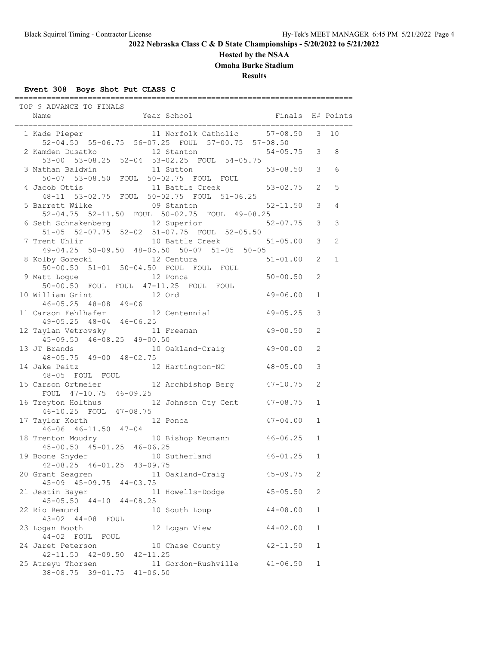#### **Hosted by the NSAA**

**Omaha Burke Stadium**

**Results**

### **Event 308 Boys Shot Put CLASS C**

 TOP 9 ADVANCE TO FINALS Name The Year School Team and Finals H# Points ========================================================================== 1 Kade Pieper 11 Norfolk Catholic 57-08.50 3 10 52-04.50 55-06.75 56-07.25 FOUL 57-00.75 57-08.50 2 Kamden Dusatko 12 Stanton 54-05.75 3 8 53-00 53-08.25 52-04 53-02.25 FOUL 54-05.75 3 Nathan Baldwin 11 Sutton 50-07 53-08.50 FOUL 50-02.75 FOUL FOUL 4 Jacob Ottis 11 Battle Creek 53-02.75 2 5 48-11 53-02.75 FOUL 50-02.75 FOUL 51-06.25 5 Barrett Wilke 09 Stanton 52-11.50 3 4 52-04.75 52-11.50 FOUL 50-02.75 FOUL 49-08.25 6 Seth Schnakenberg 12 Superior 51-05 52-07.75 52-02 51-07.75 FOUL 52-05.50<br>7 Trent Uhlir 10 Battle Creek 10 Battle Creek 51-05.00 3 2 49-04.25 50-09.50 48-05.50 50-07 51-05 50-05 8 Kolby Gorecki 12 Centura 51-01.00 2 1 50-00.50 51-01 50-04.50 FOUL FOUL FOUL 9 Matt Logue **12 Ponca** 50-00.50 2 50-00.50 FOUL FOUL 47-11.25 FOUL FOUL 10 William Grint 12 Ord 49-06.00 1 46-05.25 48-08 49-06 11 Carson Fehlhafer 12 Centennial 49-05.25 3 49-05.25 48-04 46-06.25 12 Taylan Vetrovsky 11 Freeman 49-00.50 2 45-09.50 46-08.25 49-00.50<br>13 JT Brands 10 Oakland 10 Oakland-Craig 49-00.00 2 48-05.75 49-00 48-02.75 14 Jake Peitz 12 Hartington-NC 48-05.00 3 48-05 FOUL FOUL 15 Carson Ortmeier 12 Archbishop Berg 47-10.75 2 FOUL 47-10.75 46-09.25 16 Treyton Holthus 12 Johnson Cty Cent 47-08.75 1 46-10.25 FOUL 47-08.75 17 Taylor Korth 12 Ponca 47-04.00 1 46-06 46-11.50 47-04 18 Trenton Moudry 10 Bishop Neumann 46-06.25 1 45-00.50 45-01.25 46-06.25 19 Boone Snyder 10 Sutherland 46-01.25 1 42-08.25 46-01.25 43-09.75 42-00.23 40 01.23 10 00.10<br>20 Grant Seagren 11 Oakland-Craig 45-09.75 2 45-09 45-09.75 44-03.75 21 Jestin Bayer 11 Howells-Dodge 45-05.50 2 45-05.50 44-10 44-08.25 22 Rio Remund 10 South Loup 44-08.00 1 43-02 44-08 FOUL 23 Logan Booth 12 Logan View 44-02.00 1 44-02 FOUL FOUL 24 Jaret Peterson 10 Chase County 42-11.50 1 42-11.50 42-09.50 42-11.25 25 Atreyu Thorsen 11 Gordon-Rushville 41-06.50 1 38-08.75 39-01.75 41-06.50

==========================================================================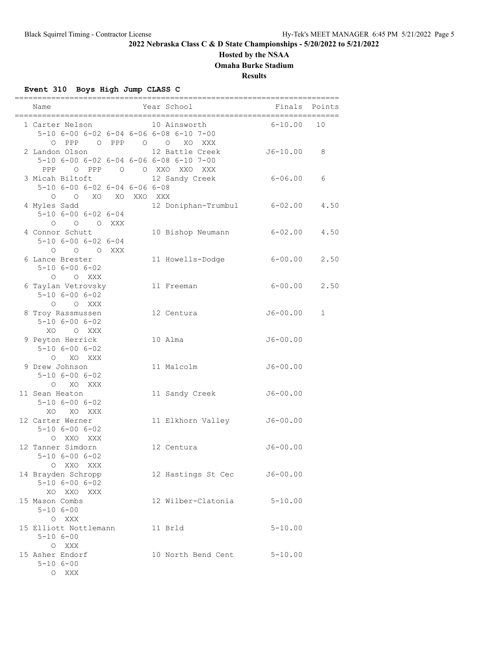### **Hosted by the NSAA**

**Omaha Burke Stadium**

**Results**

### **Event 310 Boys High Jump CLASS C**

| Name                                                                                   | Year School                     | Finals       | Points |
|----------------------------------------------------------------------------------------|---------------------------------|--------------|--------|
| 1 Carter Nelson<br>5-10 6-00 6-02 6-04 6-06 6-08 6-10 7-00<br>$O$ PPP $O$ $O$<br>O PPP | 10 Ainsworth<br>XO XXX          | $6 - 10.00$  | 10     |
| 2 Landon Olson<br>5-10 6-00 6-02 6-04 6-06 6-08 6-10 7-00<br>PPP O PPP                 | 12 Battle Creek<br>O OXXOXXOXXX | $J6 - 10.00$ | 8      |
| 3 Micah Biltoft<br>5-10 6-00 6-02 6-04 6-06 6-08<br>O O XO XO XXO XXX                  | 12 Sandy Creek                  | 6-06.00      | 6      |
| 4 Myles Sadd<br>$5 - 10$ $6 - 00$ $6 - 02$ $6 - 04$<br>0 0 0 XXX                       | 12 Doniphan-Trumbul             | $6 - 02.00$  | 4.50   |
| 4 Connor Schutt<br>$5 - 10$ $6 - 00$ $6 - 02$ $6 - 04$<br>O O O XXX                    | 10 Bishop Neumann               | $6 - 02.00$  | 4.50   |
| 6 Lance Brester<br>$5 - 10$ $6 - 00$ $6 - 02$<br>O O XXX                               | 11 Howells-Dodge                | $6 - 00.00$  | 2.50   |
| 6 Taylan Vetrovsky<br>$5 - 10$ $6 - 00$ $6 - 02$<br>O O XXX                            | 11 Freeman                      | $6 - 00.00$  | 2.50   |
| 8 Troy Rassmussen<br>$5 - 10$ $6 - 00$ $6 - 02$<br>XO.<br>O XXX                        | 12 Centura                      | $J6 - 00.00$ | 1      |
| 9 Peyton Herrick<br>$5 - 10$ $6 - 00$ $6 - 02$<br>O XO XXX                             | 10 Alma                         | $J6 - 00.00$ |        |
| 9 Drew Johnson<br>$5 - 10$ $6 - 00$ $6 - 02$<br>O XO XXX                               | 11 Malcolm                      | $J6 - 00.00$ |        |
| 11 Sean Heaton<br>$5 - 10$ $6 - 00$ $6 - 02$<br>XO XO XXX                              | 11 Sandy Creek                  | $J6 - 00.00$ |        |
| 12 Carter Werner<br>$5 - 10$ $6 - 00$ $6 - 02$<br>O XXO XXX                            | 11 Elkhorn Valley               | $J6 - 00.00$ |        |
| 12 Tanner Simdorn<br>$5 - 10$ $6 - 00$ $6 - 02$<br>O XXO XXX                           | 12 Centura                      | $J6 - 00.00$ |        |
| 14 Brayden Schropp<br>$5 - 10$ $6 - 00$ $6 - 02$<br>XO XXO XXX                         | 12 Hastings St Cec              | $J6 - 00.00$ |        |
| 15 Mason Combs<br>$5 - 106 - 00$<br>O XXX                                              | 12 Wilber-Clatonia              | $5 - 10.00$  |        |
| 15 Elliott Nottlemann<br>$5 - 106 - 00$<br>O XXX                                       | 11 Brld                         | $5 - 10.00$  |        |
| 15 Asher Endorf<br>$5 - 106 - 00$<br>O XXX                                             | 10 North Bend Cent              | $5 - 10.00$  |        |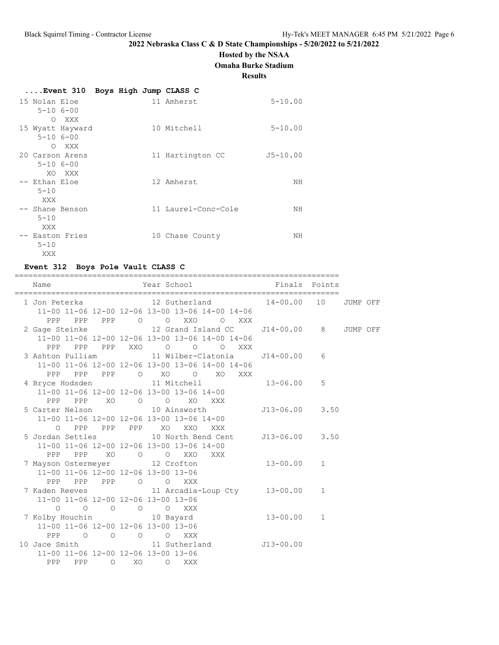# **Hosted by the NSAA**

**Omaha Burke Stadium**

**Results**

|                                 |                          |  | Event 310 Boys High Jump CLASS C |              |
|---------------------------------|--------------------------|--|----------------------------------|--------------|
| 15 Nolan Eloe<br>$5 - 106 - 00$ |                          |  | 11 Amherst                       | $5 - 10.00$  |
| $\circ$<br>$5 - 106 - 00$       | XXX<br>15 Wyatt Hayward  |  | 10 Mitchell                      | $5 - 10.00$  |
| $5 - 106 - 00$                  | O XXX<br>20 Carson Arens |  | 11 Hartington CC                 | $J5 - 10.00$ |
| -- Ethan Eloe<br>$5 - 10$       | XO XXX                   |  | 12 Amherst                       | ΝH           |
| XXX<br>$5 - 10$                 | -- Shane Benson          |  | 11 Laurel-Conc-Cole              | NΗ           |
| XXX<br>$5 - 10$<br>XXX          | -- Easton Fries          |  | 10 Chase County                  | NΗ           |

# **Event 312 Boys Pole Vault CLASS C**

| ===========                                                                 |                                                                                                                                                                      |             |  |
|-----------------------------------------------------------------------------|----------------------------------------------------------------------------------------------------------------------------------------------------------------------|-------------|--|
| Name                                                                        | Year School <a> Finals Points</a> Finals Points                                                                                                                      |             |  |
|                                                                             | 1 Jon Peterka                 12 Sutherland             14-00.00   10   JUMP OFF<br>11-00 11-06 12-00 12-06 13-00 13-06 14-00 14-06                                  |             |  |
|                                                                             | PPP PPP PPP 0 0 XXO 0 XXX<br>2 Gage Steinke                 12 Grand Island CC       J14-00.00     8     JUMP OFF<br>11-00 11-06 12-00 12-06 13-00 13-06 14-00 14-06 |             |  |
|                                                                             | PPP PPP PPP XXO O O O XXX<br>11-00 11-06 12-00 12-06 13-00 13-06 14-00 14-06                                                                                         |             |  |
|                                                                             | PPP PPP PPP O XO O XO XXX<br>4 Bryce Hodsden 11 Mitchell 13-06.00 5<br>11-00 11-06 12-00 12-06 13-00 13-06 14-00                                                     |             |  |
|                                                                             | PPP PPP XO O O XO XXX<br>5 Carter Nelson 10 Ainsworth 513-06.00 3.50<br>11-00 11-06 12-00 12-06 13-00 13-06 14-00                                                    |             |  |
|                                                                             | 0 PPP PPP PPP XO XXO<br>XXX<br>5 Jordan Settles 10 North Bend Cent J13-06.00 3.50<br>11-00 11-06 12-00 12-06 13-00 13-06 14-00                                       |             |  |
| 11-00 11-06 12-00 12-06 13-00 13-06                                         | PPP PPP XO O O XXO<br>XXX<br>7 Mayson Ostermeyer 12 Crofton 13-00.00 1                                                                                               |             |  |
| PPP PPP PPP 0 0 XXX<br>11-00 11-06 12-00 12-06 13-00 13-06                  | 7 Kaden Reeves 11 Arcadia-Loup Cty 13-00.00 1                                                                                                                        |             |  |
| $\circ$<br>7 Kolby Houchin 10 Bayard<br>11-00 11-06 12-00 12-06 13-00 13-06 | $\begin{matrix} \mathsf{O} & \mathsf{O} & \mathsf{O} & \mathsf{O} & \mathsf{X} \mathsf{X} \mathsf{X} \end{matrix}$<br>$13 - 00.00$ 1                                 |             |  |
| PPP<br>10 Jace Smith 11 Sutherland<br>11-00 11-06 12-00 12-06 13-00 13-06   | O O O O XXX                                                                                                                                                          | $J13-00.00$ |  |
| PPP PPP 0 XO 0 XXX                                                          |                                                                                                                                                                      |             |  |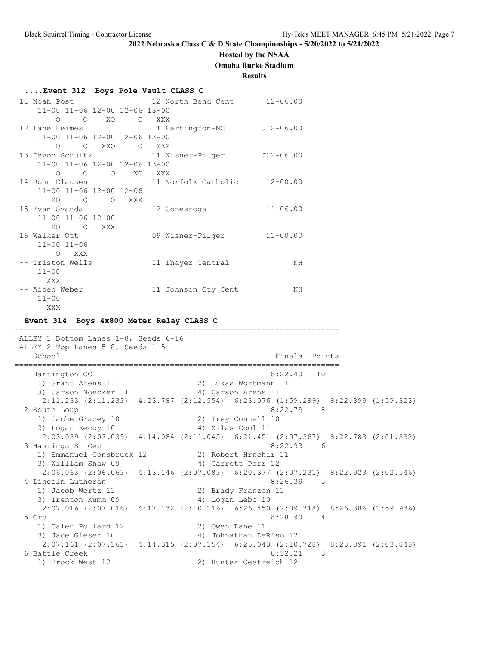# **Hosted by the NSAA**

**Omaha Burke Stadium**

### **Results**

| Event 312 Boys Pole Vault CLASS C |                                              |              |
|-----------------------------------|----------------------------------------------|--------------|
|                                   | 11 Noah Post 12 North Bend Cent 12-06.00     |              |
| 11-00 11-06 12-00 12-06 13-00     |                                              |              |
| O O XO O XXX                      |                                              |              |
|                                   | 12 Lane Heimes 11 Hartington-NC 512-06.00    |              |
| 11-00 11-06 12-00 12-06 13-00     |                                              |              |
| O O XXO O XXX                     |                                              |              |
|                                   | 13 Devon Schultz 11 Wisner-Pilger 512-06.00  |              |
| 11-00 11-06 12-00 12-06 13-00     |                                              |              |
| 0 0 0 XO XXX                      |                                              |              |
|                                   | 14 John Clausen 11 Norfolk Catholic 12-00.00 |              |
| 11-00 11-06 12-00 12-06           |                                              |              |
| XO O O XXX                        |                                              |              |
| 15 Evan Svanda karacena a kwa     | 12 Conestoga                                 | $11 - 06.00$ |
| $11 - 00$ $11 - 06$ $12 - 00$     |                                              |              |
| XO OXXX                           |                                              |              |
| 16 Walker Ott                     | 09 Wisner-Pilger 11-00.00                    |              |
| $11 - 00$ $11 - 06$               |                                              |              |
| O XXX                             |                                              |              |
| -- Triston Wells                  | 11 Thayer Central                            | ΝH           |
| $11 - 00$                         |                                              |              |
| XXX                               |                                              |              |
| -- Aiden Weber                    | 11 Johnson Cty Cent                          | ΝH           |
| $11 - 00$                         |                                              |              |
| <b>XXX</b>                        |                                              |              |

#### **Event 314 Boys 4x800 Meter Relay CLASS C**

======================================================================= ALLEY 1 Bottom Lanes 1-8, Seeds 6-16 ALLEY 2 Top Lanes 5-8, Seeds 1-5 School Finals Points Points Points Points Points Points Points Points Points Points Points Points Points Points Points Points Points Points Points Points Points Points Points Points Points Points Points Points Points Point ======================================================================= 1 Hartington CC 8:22.40 10 1) Grant Arens 11 2) Lukas Wortmann 11 3) Carson Noecker 11 (4) 4 Australian 4 Australian 4 Australian 4 Australian 4 Australian 4 Australian 4 Australia 2:11.233 (2:11.233) 4:23.787 (2:12.554) 6:23.076 (1:59.289) 8:22.399 (1:59.323) 2 South Loup 8:22.79 8 1) Cache Gracey 10 2) Trey Connell 10 3) Logan Recoy 10 4) Silas Cool 11 2:03.039 (2:03.039) 4:14.084 (2:11.045) 6:21.451 (2:07.367) 8:22.783 (2:01.332) 3 Hastings St Cec 8:22.93 6 1) Emmanuel Consbruck 12 2) Robert Hrnchir 11 3) William Shaw 09 4) Garrett Parr 12 2:06.063 (2:06.063) 4:13.146 (2:07.083) 6:20.377 (2:07.231) 8:22.923 (2:02.546) 4 Lincoln Lutheran 8:26.39 5 1) Jacob Wertz 11 2) Brady Franzen 11 2) Brady Franzen<br>3) Trenton Kumm 09 4) Logan Lebo 10<br>2.07.016 (2.07.016) 4) Logan Lebo 10 2:07.016 (2:07.016) 4:17.132 (2:10.116) 6:26.450 (2:09.318) 8:26.386 (1:59.936) 5 Ord 8:28.90 4 1) Calen Pollard 12 2) Owen Lane 11 3) Jace Gieser 10 4) Johnathan DeRiso 12 2:07.161 (2:07.161) 4:14.315 (2:07.154) 6:25.043 (2:10.728) 8:28.891 (2:03.848) 6 Battle Creek 8:32.21 3<br>1) Brock West 12 3<br>2) Hunter Oestreich 12 2) Hunter Oestreich 12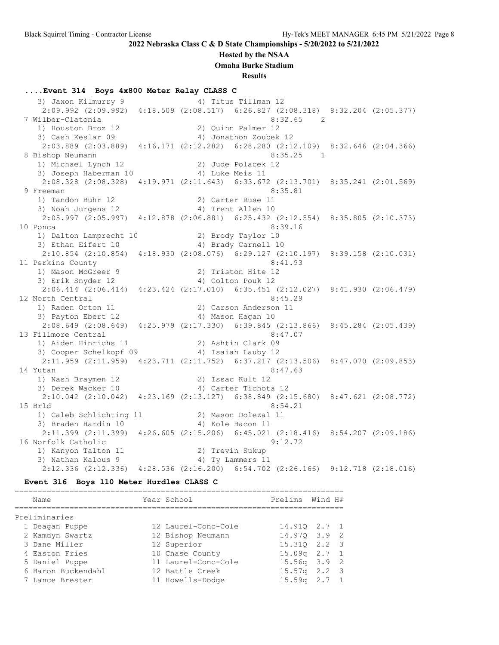#### **Hosted by the NSAA**

**Omaha Burke Stadium**

**Results**

### **....Event 314 Boys 4x800 Meter Relay CLASS C**

3) Jaxon Kilmurry 9 4) Titus Tillman 12 2:09.992 (2:09.992) 4:18.509 (2:08.517) 6:26.827 (2:08.318) 8:32.204 (2:05.377) 7 Wilber-Clatonia 8:32.65 2 1) Houston Broz 12 2) Quinn Palmer 12 3) Cash Keslar 09 4) Jonathon Zoubek 12 2:03.889 (2:03.889) 4:16.171 (2:12.282) 6:28.280 (2:12.109) 8:32.646 (2:04.366) 8 Bishop Neumann 8:35.25 1 1) Michael Lynch 12 2) Jude Polacek 12 3) Joseph Haberman 10  $\hskip1cm$  4) Luke Meis 11 2:08.328 (2:08.328) 4:19.971 (2:11.643) 6:33.672 (2:13.701) 8:35.241 (2:01.569) 9 Freeman 8:35.81 1) Tandon Buhr 12 2) Carter Ruse 11 3) Noah Jurgens 12 4) Trent Allen 10 2:05.997 (2:05.997) 4:12.878 (2:06.881) 6:25.432 (2:12.554) 8:35.805 (2:10.373) 10 Ponca 8:39.16 1) Dalton Lamprecht 10 2) Brody Taylor 10 3) Ethan Eifert 10 (4) Brady Carnell 10 2:10.854 (2:10.854) 4:18.930 (2:08.076) 6:29.127 (2:10.197) 8:39.158 (2:10.031) 11 Perkins County 8:41.93 1) Mason McGreer 9 2) Triston Hite 12 3) Erik Snyder 12 <a>
4) Colton Pouk 12 2:06.414 (2:06.414) 4:23.424 (2:17.010) 6:35.451 (2:12.027) 8:41.930 (2:06.479) 12 North Central 8:45.29 1) Raden Orton 11 2) Carson Anderson 11 3) Payton Ebert 12 4) Mason Hagan 10 2:08.649 (2:08.649) 4:25.979 (2:17.330) 6:39.845 (2:13.866) 8:45.284 (2:05.439) 13 Fillmore Central 8:47.07 1) Aiden Hinrichs 11 2) Ashtin Clark 09 3) Cooper Schelkopf 09  $\hspace{1cm}$  4) Isaiah Lauby 12 2:11.959 (2:11.959) 4:23.711 (2:11.752) 6:37.217 (2:13.506) 8:47.070 (2:09.853) 14 Yutan 8:47.63 1) Nash Braymen 12 2) Issac Kult 12 3) Derek Wacker 10 <a>> 4) Carter Tichota<br/> 12 2:10.042 (2:10.042) 4:23.169 (2:13.127) 6:38.849 (2:15.680) 8:47.621 (2:08.772) 15 Brld 8:54.21 1) Caleb Schlichting 11 2) Mason Dolezal 11 3) Braden Hardin 10 (4) 4) Kole Bacon 11 2:11.399 (2:11.399) 4:26.605 (2:15.206) 6:45.021 (2:18.416) 8:54.207 (2:09.186) 16 Norfolk Catholic 9:12.72 1) Kanyon Talton 11 2) Trevin Sukup 3) Nathan Kalous 9 4) Ty Lammers 11 2:12.336 (2:12.336) 4:28.536 (2:16.200) 6:54.702 (2:26.166) 9:12.718 (2:18.016)

#### **Event 316 Boys 110 Meter Hurdles CLASS C**

| Name |                                                                                                                                                  | Prelims                                                                                                                                                 |     |                                                                                                                                         |
|------|--------------------------------------------------------------------------------------------------------------------------------------------------|---------------------------------------------------------------------------------------------------------------------------------------------------------|-----|-----------------------------------------------------------------------------------------------------------------------------------------|
|      |                                                                                                                                                  |                                                                                                                                                         |     |                                                                                                                                         |
|      |                                                                                                                                                  |                                                                                                                                                         |     |                                                                                                                                         |
|      |                                                                                                                                                  |                                                                                                                                                         |     |                                                                                                                                         |
|      |                                                                                                                                                  |                                                                                                                                                         |     |                                                                                                                                         |
|      |                                                                                                                                                  |                                                                                                                                                         |     |                                                                                                                                         |
|      |                                                                                                                                                  |                                                                                                                                                         |     |                                                                                                                                         |
|      |                                                                                                                                                  |                                                                                                                                                         |     |                                                                                                                                         |
|      |                                                                                                                                                  |                                                                                                                                                         | 2.7 |                                                                                                                                         |
|      | Preliminaries<br>1 Deagan Puppe<br>2 Kamdyn Swartz<br>3 Dane Miller<br>4 Easton Fries<br>5 Daniel Puppe<br>6 Baron Buckendahl<br>7 Lance Brester | Year School<br>12 Laurel-Conc-Cole<br>12 Bishop Neumann<br>12 Superior<br>10 Chase County<br>11 Laurel-Conc-Cole<br>12 Battle Creek<br>11 Howells-Dodge |     | Wind H#<br>14.910 2.7 1<br>14.970 3.9 2<br>15.310 2.2 3<br>$15.09q$ $2.7$ 1<br>$15.56q$ $3.9$ 2<br>$15.57q$ 2.2 3<br>15.59 <sub>q</sub> |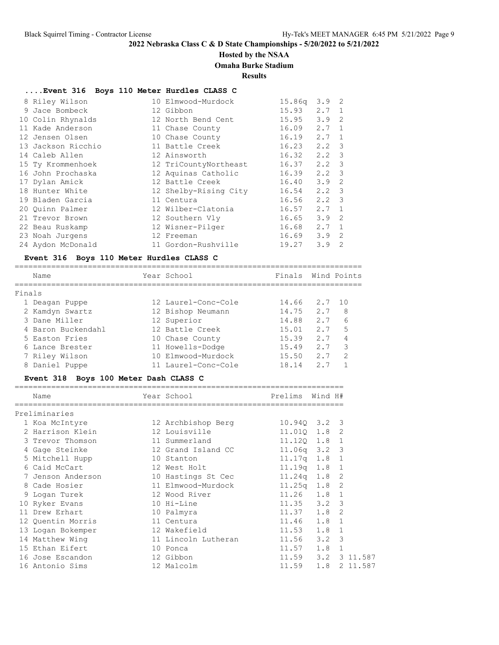# **Hosted by the NSAA**

# **Omaha Burke Stadium**

**Results**

#### **....Event 316 Boys 110 Meter Hurdles CLASS C**

| 8 Riley Wilson     | 10 Elmwood-Murdock    | 15.86q | 3.9 | 2                       |
|--------------------|-----------------------|--------|-----|-------------------------|
| 9 Jace Bombeck     | 12 Gibbon             | 15.93  | 2.7 | $\mathbf{1}$            |
| 10 Colin Rhynalds  | 12 North Bend Cent    | 15.95  | 3.9 | 2                       |
| 11 Kade Anderson   | 11 Chase County       | 16.09  | 2.7 | 1                       |
| 12 Jensen Olsen    | 10 Chase County       | 16.19  | 2.7 | 1                       |
| 13 Jackson Ricchio | 11 Battle Creek       | 16.23  | 2.2 | 3                       |
| 14 Caleb Allen     | 12 Ainsworth          | 16.32  | 2.2 | $\overline{\mathbf{3}}$ |
| 15 Ty Krommenhoek  | 12 TriCountyNortheast | 16.37  | 2.2 | $\overline{\mathbf{3}}$ |
| 16 John Prochaska  | 12 Aquinas Catholic   | 16.39  | 2.2 | 3                       |
| 17 Dylan Amick     | 12 Battle Creek       | 16.40  | 3.9 | 2                       |
| 18 Hunter White    | 12 Shelby-Rising City | 16.54  | 2.2 | -3                      |
| 19 Bladen Garcia   | 11 Centura            | 16.56  | 2.2 | 3                       |
| 20 Ouinn Palmer    | 12 Wilber-Clatonia    | 16.57  | 2.7 | $\mathbf{1}$            |
| 21 Trevor Brown    | 12 Southern Vly       | 16.65  | 3.9 | 2                       |
| 22 Beau Ruskamp    | 12 Wisner-Pilger      | 16.68  | 2.7 | 1                       |
| 23 Noah Jurgens    | 12 Freeman            | 16.69  | 3.9 | 2                       |
| 24 Aydon McDonald  | 11 Gordon-Rushville   | 19.27  | 3.9 | $\mathcal{L}$           |
|                    |                       |        |     |                         |

#### **Event 316 Boys 110 Meter Hurdles CLASS C**

============================================================================ Name **The Year School** Principle Finals Wind Points ============================================================================ Finals 1 Deagan Puppe 12 Laurel-Conc-Cole 14.66 2.7 10 2 Kamdyn Swartz 12 Bishop Neumann 14.75 2.7 8 3 Dane Miller 12 Superior 14.88 2.7 6 4 Baron Buckendahl 12 Battle Creek 15.01 2.7 5 5 Easton Fries 10 Chase County 15.39 2.7 4 6 Lance Brester 11 Howells-Dodge 15.49 2.7 3 7 Riley Wilson 10 Elmwood-Murdock 15.50 2.7 2 8 Daniel Puppe 11 Laurel-Conc-Cole 18.14 2.7 1

#### **Event 318 Boys 100 Meter Dash CLASS C**

| Name              | Year School Sear    | Prelims        | Wind H# |              |
|-------------------|---------------------|----------------|---------|--------------|
| Preliminaries     |                     |                |         |              |
| 1 Koa McIntyre    | 12 Archbishop Berg  | 10.940 3.2 3   |         |              |
| 2 Harrison Klein  | 12 Louisville       | 11.010 1.8     |         | 2            |
| 3 Trevor Thomson  | 11 Summerland       | 11.120 1.8 1   |         |              |
| 4 Gage Steinke    | 12 Grand Island CC  | $11.06q$ 3.2 3 |         |              |
| 5 Mitchell Hupp   | 10 Stanton          | $11.17q$ $1.8$ |         | 1            |
| 6 Caid McCart     | 12 West Holt        | 11.19q 1.8     |         | $\mathbf{1}$ |
| 7 Jenson Anderson | 10 Hastings St Cec  | $11.24q$ $1.8$ |         | 2            |
| 8 Cade Hosier     | 11 Elmwood-Murdock  | $11.25q$ $1.8$ |         | 2            |
| 9 Logan Turek     | 12 Wood River       | $11.26$ 1.8    |         | $\mathbf{1}$ |
| 10 Ryker Evans    | 10 Hi-Line          | $11.35$ $3.2$  |         | 3            |
| 11 Drew Erhart    | 10 Palmyra          | $11.37$ $1.8$  |         | 2            |
| 12 Ouentin Morris | 11 Centura          | $11.46$ $1.8$  |         | $\mathbf{1}$ |
| 13 Logan Bokemper | 12 Wakefield        | 11.53          | 1.8     | 1            |
| 14 Matthew Wing   | 11 Lincoln Lutheran | $11.56$ $3.2$  |         | 3            |
| 15 Ethan Eifert   | 10 Ponca            | 11.57          | 1.8     | $\mathbf{1}$ |
| 16 Jose Escandon  | 12 Gibbon           | 11.59          | 3.2     | 3 11.587     |
| 16 Antonio Sims   | 12 Malcolm          | 11.59          | 1.8     | 2 11.587     |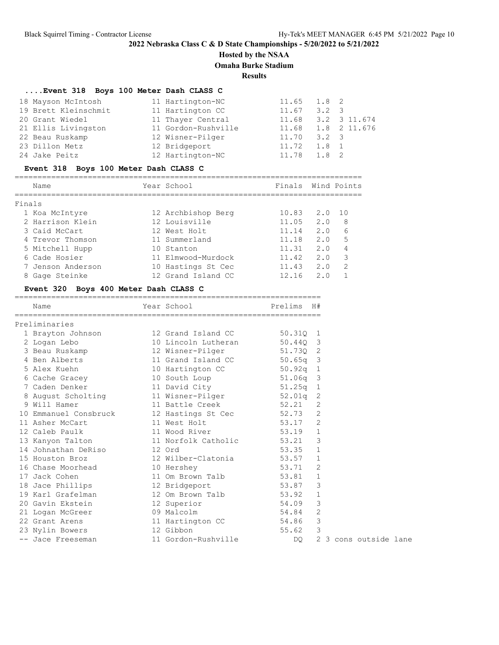# **Hosted by the NSAA**

**Omaha Burke Stadium**

**Results**

### **....Event 318 Boys 100 Meter Dash CLASS C**

| 18 Mayson McIntosh   | 11 Hartington-NC    | $11.65$ $1.8$ 2 |               |                    |
|----------------------|---------------------|-----------------|---------------|--------------------|
| 19 Brett Kleinschmit | 11 Hartington CC    | 11.67           | $3.2 \quad 3$ |                    |
| 20 Grant Wiedel      | 11 Thayer Central   | 11.68           |               | 3.2 3 11.674       |
| 21 Ellis Livingston  | 11 Gordon-Rushville |                 |               | 11.68 1.8 2 11.676 |
| 22 Beau Ruskamp      | 12 Wisner-Pilger    | 11.70           | $3.2 \quad 3$ |                    |
| 23 Dillon Metz       | 12 Bridgeport       | 11.72           | 1.8 1         |                    |
| 24 Jake Peitz        | 12 Hartington-NC    | 11.78           | 1.8 2         |                    |

### **Event 318 Boys 100 Meter Dash CLASS C**

|        | Name              | Year School        | Finals |                | Wind Points |
|--------|-------------------|--------------------|--------|----------------|-------------|
| Finals |                   |                    |        |                |             |
|        | 1 Koa McIntyre    | 12 Archbishop Berg | 10.83  | 2.0            | 10          |
|        | 2 Harrison Klein  | 12 Louisville      | 11.05  | 2.0            | 8           |
|        | 3 Caid McCart     | 12 West Holt       | 11.14  | 2.0            | 6           |
|        | 4 Trevor Thomson  | 11 Summerland      | 11.18  | 2.0            | 5           |
|        | 5 Mitchell Hupp   | 10 Stanton         | 11.31  | 2.0            |             |
|        | 6 Cade Hosier     | 11 Elmwood-Murdock | 11.42  | 2.0            | 3           |
|        | 7 Jenson Anderson | 10 Hastings St Cec | 11.43  | 2.0            | 2           |
|        | 8 Gage Steinke    | 12 Grand Island CC | 12.16  | 2 <sub>0</sub> |             |

### **Event 320 Boys 400 Meter Dash CLASS C**

| Name                                                   | Year School            | Prelims H# |                |                     |
|--------------------------------------------------------|------------------------|------------|----------------|---------------------|
| Preliminaries                                          |                        |            |                |                     |
| 1 Brayton Johnson 12 Grand Island CC                   |                        | 50.31Q 1   |                |                     |
| 2 Logan Lebo                                           | 10 Lincoln Lutheran    | 50.440 3   |                |                     |
|                                                        |                        | 51.73Q 2   |                |                     |
| 4 Ben Alberts                                          | 11 Grand Island CC     | $50.65q$ 3 |                |                     |
| 5 Alex Kuehn 10 Hartington CC                          |                        | $50.92q$ 1 |                |                     |
| 6 Cache Gracey 10 South Loup                           |                        | $51.06q$ 3 |                |                     |
| 7 Caden Denker 11 David City                           |                        | $51.25q$ 1 |                |                     |
| 8 August Scholting 11 Wisner-Pilger                    |                        | $52.01q$ 2 |                |                     |
| 9 Will Hamer                                           | 11 Battle Creek        | $52.21$ 2  |                |                     |
| 10 Emmanuel Consbruck 12 Hastings St Cec 52.73 2       |                        |            |                |                     |
| 11 Asher McCart 11 West Holt                           |                        | 53.17 2    |                |                     |
| 12 Caleb Paulk                                         | 11 Wood River 53.19 1  |            |                |                     |
| 13 Kanyon Talton 11 Norfolk Catholic 53.21 3           |                        |            |                |                     |
| 14 Johnathan DeRiso 12 Ord                             |                        | 53.35 1    |                |                     |
| 15 Houston Broz                                        | 12 Wilber-Clatonia     | $53.57$ 1  |                |                     |
| 16 Chase Moorhead 10 Hershey                           |                        | 53.71      | 2              |                     |
| 17 Jack Cohen                                          | 11 Om Brown Talb       | 53.81 1    |                |                     |
| 18 Jace Phillips 12 Bridgeport                         |                        | 53.87 3    |                |                     |
| 19 Karl Grafelman                     12 Om Brown Talb |                        | 53.92 1    |                |                     |
| 20 Gavin Ekstein 12 Superior                           |                        | 54.09      | $\mathcal{E}$  |                     |
| 21 Logan McGreer 09 Malcolm                            |                        | 54.84 2    |                |                     |
| 22 Grant Arens                                         | 11 Hartington CC 54.86 |            | $\mathcal{E}$  |                     |
| 23 Nylin Bowers 12 Gibbon                              |                        | 55.62 3    |                |                     |
| -- Jace Freeseman                                      | 11 Gordon-Rushville    | DO.        | $\overline{2}$ | 3 cons outside lane |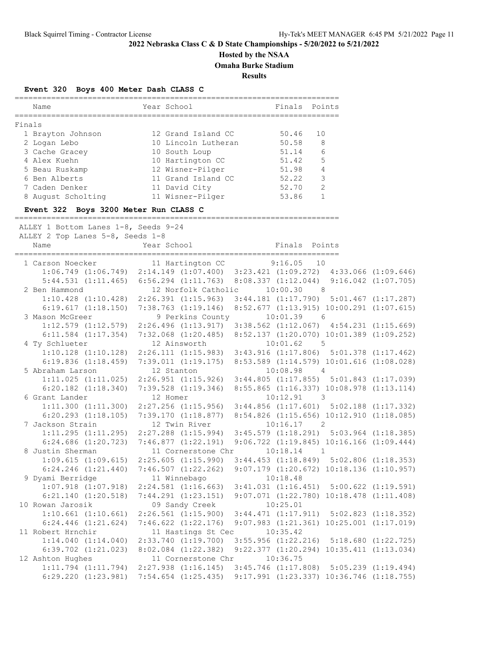# **Hosted by the NSAA**

**Omaha Burke Stadium**

**Results**

### **Event 320 Boys 400 Meter Dash CLASS C**

| Name                                        | Year School                                                                                      | --------------------------<br>Finals Points                  |        |  |
|---------------------------------------------|--------------------------------------------------------------------------------------------------|--------------------------------------------------------------|--------|--|
|                                             |                                                                                                  |                                                              |        |  |
| Finals                                      |                                                                                                  |                                                              |        |  |
| 1 Brayton Johnson                           | 12 Grand Island CC                                                                               | 50.46                                                        | 10     |  |
| 2 Logan Lebo                                | 10 Lincoln Lutheran<br>10 South Loup                                                             | 50.58<br>51.14                                               | 8<br>6 |  |
| 3 Cache Gracey<br>4 Alex Kuehn              | 10 Hartington CC                                                                                 | 51.42                                                        | 5      |  |
| 5 Beau Ruskamp                              | 12 Wisner-Pilger 51.98 4                                                                         |                                                              |        |  |
| 6 Ben Alberts                               | 11 Grand Island CC                                                                               | $52.22$ 3                                                    |        |  |
| 7 Caden Denker                              | 11 David City                                                                                    | 52.70 2                                                      |        |  |
| 8 August Scholting                          | 11 Wisner-Pilger                                                                                 | $53.86$ 1                                                    |        |  |
| Event 322 Boys 3200 Meter Run CLASS C       |                                                                                                  |                                                              |        |  |
| ALLEY 1 Bottom Lanes 1-8, Seeds 9-24        |                                                                                                  |                                                              |        |  |
| ALLEY 2 Top Lanes 5-8, Seeds 1-8            |                                                                                                  |                                                              |        |  |
| Name                                        | Year School                                                                                      | Finals Points                                                |        |  |
| 1 Carson Noecker                            | 11 Hartington CC                                                                                 | 9:16.05                                                      | 10     |  |
|                                             | 1:06.749 (1:06.749) 2:14.149 (1:07.400) 3:23.421 (1:09.272) 4:33.066 (1:09.646)                  |                                                              |        |  |
|                                             | 5:44.531 (1:11.465) 6:56.294 (1:11.763) 8:08.337 (1:12.044) 9:16.042 (1:07.705)                  |                                                              |        |  |
| 2 Ben Hammond                               | 12 Norfolk Catholic 10:00.30 8                                                                   |                                                              |        |  |
|                                             | 1:10.428 (1:10.428) 2:26.391 (1:15.963) 3:44.181 (1:17.790) 5:01.467 (1:17.287)                  |                                                              |        |  |
|                                             | 6:19.617 (1:18.150) 7:38.763 (1:19.146) 8:52.677 (1:13.915) 10:00.291 (1:07.615)                 |                                                              |        |  |
| 3 Mason McGreer                             | 9 Perkins County                                                                                 | $10:01.39$ 6                                                 |        |  |
|                                             | 1:12.579 (1:12.579) 2:26.496 (1:13.917) 3:38.562 (1:12.067) 4:54.231 (1:15.669)                  | 8:52.137 (1:20.070) 10:01.389 (1:09.252)                     |        |  |
| 4 Ty Schlueter                              | $6:11.584$ $(1:17.354)$ $7:32.068$ $(1:20.485)$<br>12 Ainsworth                                  | 10:01.62 5                                                   |        |  |
|                                             | 1:10.128 (1:10.128) 2:26.111 (1:15.983) 3:43.916 (1:17.806) 5:01.378 (1:17.462)                  |                                                              |        |  |
|                                             | 6:19.836 (1:18.459) 7:39.011 (1:19.175) 8:53.589 (1:14.579) 10:01.616 (1:08.028)                 |                                                              |        |  |
| 5 Abraham Larson                            | 12 Stanton                                                                                       | $10:08.98$ 4                                                 |        |  |
|                                             | 1:11.025 (1:11.025) 2:26.951 (1:15.926) 3:44.805 (1:17.855) 5:01.843 (1:17.039)                  |                                                              |        |  |
|                                             | $6:20.182$ $(1:18.340)$ $7:39.528$ $(1:19.346)$ $8:55.865$ $(1:16.337)$ $10:08.978$ $(1:13.114)$ |                                                              |        |  |
| 6 Grant Lander                              | 12 Homer                                                                                         | $10:12.91$ 3                                                 |        |  |
|                                             | 1:11.300 (1:11.300) 2:27.256 (1:15.956) 3:44.856 (1:17.601) 5:02.188 (1:17.332)                  |                                                              |        |  |
|                                             | $6:20.293$ $(1:18.105)$ $7:39.170$ $(1:18.877)$ $8:54.826$ $(1:15.656)$ $10:12.910$ $(1:18.085)$ |                                                              |        |  |
| 7 Jackson Strain                            | 12 Twin River                                                                                    | $10:16.17$ 2                                                 |        |  |
|                                             | 1:11.295 (1:11.295) 2:27.288 (1:15.994) 3:45.579 (1:18.291) 5:03.964 (1:18.385)                  |                                                              |        |  |
|                                             | 6:24.686 (1:20.723) 7:46.877 (1:22.191) 9:06.722 (1:19.845) 10:16.166 (1:09.444)                 |                                                              |        |  |
| 8 Justin Sherman                            | 11 Cornerstone Chr                                                                               | $10:18.14$ 1                                                 |        |  |
|                                             | $1:09.615$ (1:09.615) $2:25.605$ (1:15.990) $3:44.453$ (1:18.849) $5:02.806$ (1:18.353)          |                                                              |        |  |
| $6:24.246$ $(1:21.440)$<br>9 Dyami Berridge | $7:46.507$ $(1:22.262)$<br>11 Winnebago                                                          | $9:07.179$ $(1:20.672)$ $10:18.136$ $(1:10.957)$<br>10:18.48 |        |  |
| $1:07.918$ $(1:07.918)$                     | $2:24.581$ $(1:16.663)$                                                                          | $3:41.031$ $(1:16.451)$ $5:00.622$ $(1:19.591)$              |        |  |
| $6:21.140$ $(1:20.518)$                     | $7:44.291$ $(1:23.151)$                                                                          | $9:07.071$ $(1:22.780)$ $10:18.478$ $(1:11.408)$             |        |  |
| 10 Rowan Jarosik                            | 09 Sandy Creek                                                                                   | 10:25.01                                                     |        |  |
| $1:10.661$ $(1:10.661)$                     | $2:26.561$ $(1:15.900)$                                                                          | $3:44.471$ $(1:17.911)$ $5:02.823$ $(1:18.352)$              |        |  |
| $6:24.446$ $(1:21.624)$                     | $7:46.622$ $(1:22.176)$                                                                          | $9:07.983$ $(1:21.361)$ $10:25.001$ $(1:17.019)$             |        |  |
| 11 Robert Hrnchir                           | 11 Hastings St Cec                                                                               | 10:35.42                                                     |        |  |
| 1:14.040(1:14.040)                          | $2:33.740$ $(1:19.700)$                                                                          | 3:55.956 (1:22.216) 5:18.680 (1:22.725)                      |        |  |
| $6:39.702$ $(1:21.023)$                     | $8:02.084$ $(1:22.382)$                                                                          | $9:22.377$ $(1:20.294)$ $10:35.411$ $(1:13.034)$             |        |  |
| 12 Ashton Hughes                            | 11 Cornerstone Chr                                                                               | 10:36.75                                                     |        |  |
| $1:11.794$ $(1:11.794)$                     | $2:27.938$ $(1:16.145)$                                                                          | $3:45.746$ (1:17.808) $5:05.239$ (1:19.494)                  |        |  |
| $6:29.220$ $(1:23.981)$                     | $7:54.654$ $(1:25.435)$                                                                          | 9:17.991 (1:23.337) 10:36.746 (1:18.755)                     |        |  |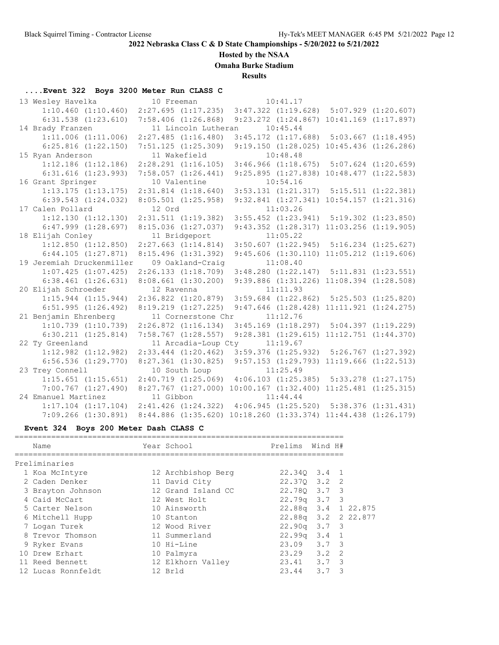### **Hosted by the NSAA**

**Omaha Burke Stadium**

**Results**

# **....Event 322 Boys 3200 Meter Run CLASS C**

| 13 Wesley Havelka     |                           | 10 Freeman |                                                                         |          | 10:41.17                                         |  |
|-----------------------|---------------------------|------------|-------------------------------------------------------------------------|----------|--------------------------------------------------|--|
|                       | $1:10.460$ $(1:10.460)$   |            | $2:27.695$ $(1:17.235)$                                                 |          | $3:47.322$ $(1:19.628)$ $5:07.929$ $(1:20.607)$  |  |
|                       | $6:31.538$ $(1:23.610)$   |            | $7:58.406$ $(1:26.868)$                                                 |          | $9:23.272$ $(1:24.867)$ $10:41.169$ $(1:17.897)$ |  |
| 14 Brady Franzen      |                           |            | 11 Lincoln Lutheran                                                     | 10:45.44 |                                                  |  |
|                       | $1:11.006$ $(1:11.006)$   |            | $2:27.485$ $(1:16.480)$                                                 |          | $3:45.172$ $(1:17.688)$ $5:03.667$ $(1:18.495)$  |  |
|                       | $6:25.816$ $(1:22.150)$   |            | $7:51.125$ $(1:25.309)$                                                 |          | $9:19.150$ $(1:28.025)$ $10:45.436$ $(1:26.286)$ |  |
| 15 Ryan Anderson      |                           |            | 11 Wakefield                                                            |          | 10:48.48                                         |  |
|                       | $1:12.186$ $(1:12.186)$   |            | $2:28.291$ $(1:16.105)$                                                 |          | $3:46.966$ $(1:18.675)$ $5:07.624$ $(1:20.659)$  |  |
|                       | $6:31.616$ $(1:23.993)$   |            | $7:58.057$ $(1:26.441)$                                                 |          | $9:25.895$ $(1:27.838)$ $10:48.477$ $(1:22.583)$ |  |
| 16 Grant Springer     |                           |            | 10 Valentine                                                            |          | 10:54.16                                         |  |
|                       | $1:13.175$ $(1:13.175)$   |            | $2:31.814$ $(1:18.640)$                                                 |          | $3:53.131$ $(1:21.317)$ $5:15.511$ $(1:22.381)$  |  |
|                       | $6:39.543$ $(1:24.032)$   |            | $8:05.501$ $(1:25.958)$                                                 |          | $9:32.841$ $(1:27.341)$ $10:54.157$ $(1:21.316)$ |  |
| 17 Calen Pollard      |                           | 12 Ord     |                                                                         |          | 11:03.26                                         |  |
|                       | 1:12.130(1:12.130)        |            | 2:31.511 (1:19.382)                                                     |          | $3:55.452$ $(1:23.941)$ $5:19.302$ $(1:23.850)$  |  |
|                       | $6:47.999$ $(1:28.697)$   |            | $8:15.036$ $(1:27.037)$                                                 |          | 9:43.352 (1:28.317) 11:03.256 (1:19.905)         |  |
| 18 Elijah Conley      |                           |            | 11 Bridgeport                                                           | 11:05.22 |                                                  |  |
|                       | $1:12.850$ $(1:12.850)$   |            | $2:27.663$ $(1:14.814)$                                                 |          | $3:50.607$ $(1:22.945)$ $5:16.234$ $(1:25.627)$  |  |
|                       | $6:44.105$ $(1:27.871)$   |            | $8:15.496$ $(1:31.392)$                                                 |          | $9:45.606$ $(1:30.110)$ $11:05.212$ $(1:19.606)$ |  |
|                       | 19 Jeremiah Druckenmiller |            | 09 Oakland-Craig                                                        |          | 11:08.40                                         |  |
|                       | $1:07.425$ $(1:07.425)$   |            | $2:26.133$ $(1:18.709)$ $3:48.280$ $(1:22.147)$ $5:11.831$ $(1:23.551)$ |          |                                                  |  |
|                       | $6:38.461$ $(1:26.631)$   |            | $8:08.661$ $(1:30.200)$                                                 |          | 9:39.886 (1:31.226) 11:08.394 (1:28.508)         |  |
| 20 Elijah Schroeder   |                           | 12 Ravenna |                                                                         |          | 11:11.93                                         |  |
|                       | $1:15.944$ $(1:15.944)$   |            | $2:36.822$ $(1:20.879)$                                                 |          | $3:59.684$ $(1:22.862)$ $5:25.503$ $(1:25.820)$  |  |
|                       | 6:51.995(1:26.492)        |            | $8:19.219$ $(1:27.225)$                                                 |          | $9:47.646$ $(1:28.428)$ $11:11.921$ $(1:24.275)$ |  |
| 21 Benjamin Ehrenberg |                           |            | 11 Cornerstone Chr                                                      | 11:12.76 |                                                  |  |
|                       | $1:10.739$ $(1:10.739)$   |            | $2:26.872$ $(1:16.134)$                                                 |          | $3:45.169$ $(1:18.297)$ $5:04.397$ $(1:19.229)$  |  |
|                       | $6:30.211$ $(1:25.814)$   |            | $7:58.767$ $(1:28.557)$                                                 |          | 9:28.381 (1:29.615) 11:12.751 (1:44.370)         |  |
| 22 Ty Greenland       |                           |            | 11 Arcadia-Loup Cty 11:19.67                                            |          |                                                  |  |
|                       | $1:12.982$ $(1:12.982)$   |            | $2:33.444$ $(1:20.462)$                                                 |          | $3:59.376$ $(1:25.932)$ $5:26.767$ $(1:27.392)$  |  |
|                       | $6:56.536$ $(1:29.770)$   |            | $8:27.361$ $(1:30.825)$                                                 |          | 9:57.153 (1:29.793) 11:19.666 (1:22.513)         |  |
| 23 Trey Connell       |                           |            | 10 South Loup                                                           |          | 11:25.49                                         |  |
|                       | $1:15.651$ $(1:15.651)$   |            | 2:40.719 (1:25.069) 4:06.103 (1:25.385) 5:33.278 (1:27.175)             |          |                                                  |  |
|                       | $7:00.767$ $(1:27.490)$   |            | 8:27.767 (1:27.000) 10:00.167 (1:32.400) 11:25.481 (1:25.315)           |          |                                                  |  |
| 24 Emanuel Martinez   |                           | 11 Gibbon  |                                                                         |          | 11:44.44                                         |  |
|                       | $1:17.104$ $(1:17.104)$   |            | $2:41.426$ $(1:24.322)$                                                 |          | $4:06.945$ $(1:25.520)$ $5:38.376$ $(1:31.431)$  |  |
|                       | $7:09.266$ $(1:30.891)$   |            | 8:44.886 (1:35.620) 10:18.260 (1:33.374) 11:44.438 (1:26.179)           |          |                                                  |  |

# **Event 324 Boys 200 Meter Dash CLASS C**

| Name               | Year School        | Prelims Wind H#     |     |     |
|--------------------|--------------------|---------------------|-----|-----|
| Preliminaries      |                    |                     |     |     |
| 1 Koa McIntyre     | 12 Archbishop Berg | 22.340 3.4 1        |     |     |
| 2 Caden Denker     | 11 David City      | 22.370 3.2 2        |     |     |
| 3 Brayton Johnson  | 12 Grand Island CC | 22.780 3.7 3        |     |     |
| 4 Caid McCart      | 12 West Holt       | 22.79q 3.7          |     | - 3 |
| 5 Carter Nelson    | 10 Ainsworth       | 22.88q 3.4 1 22.875 |     |     |
| 6 Mitchell Hupp    | 10 Stanton         | 22.88q 3.2 2 22.877 |     |     |
| 7 Logan Turek      | 12 Wood River      | $22.90q$ $3.7$ 3    |     |     |
| 8 Trevor Thomson   | 11 Summerland      | $22.99q$ $3.4$ 1    |     |     |
| 9 Ryker Evans      | 10 Hi-Line         | 23.09 3.7 3         |     |     |
| 10 Drew Erhart     | 10 Palmyra         | $23.29$ $3.2$ 2     |     |     |
| 11 Reed Bennett    | 12 Elkhorn Valley  | 23.41 3.7 3         |     |     |
| 12 Lucas Ronnfeldt | 12 Brld            | 23.44               | 3.7 | 3   |
|                    |                    |                     |     |     |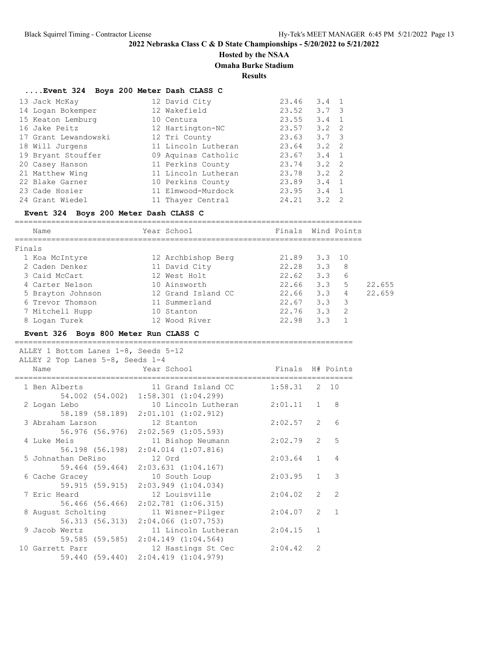### **Hosted by the NSAA**

### **Omaha Burke Stadium**

**Results**

### **....Event 324 Boys 200 Meter Dash CLASS C**

| 13 Jack McKay        | 12 David City       | 23.46 | $3.4 \quad 1$ |                |
|----------------------|---------------------|-------|---------------|----------------|
| 14 Logan Bokemper    | 12 Wakefield        | 23.52 | $3.7 \quad 3$ |                |
| 15 Keaton Lemburg    | 10 Centura          | 23.55 | 3.4           | $\overline{1}$ |
| 16 Jake Peitz        | 12 Hartington-NC    | 23.57 | $3.2 \quad 2$ |                |
| 17 Grant Lewandowski | 12 Tri County       | 23.63 | $3.7 \quad 3$ |                |
| 18 Will Jurgens      | 11 Lincoln Lutheran | 23.64 | $3.2 \quad 2$ |                |
| 19 Bryant Stouffer   | 09 Aquinas Catholic | 23.67 | $3.4 \quad 1$ |                |
| 20 Casey Hanson      | 11 Perkins County   | 23.74 | $3.2 \quad 2$ |                |
| 21 Matthew Wing      | 11 Lincoln Lutheran | 23.78 | $3.2 \quad 2$ |                |
| 22 Blake Garner      | 10 Perkins County   | 23.89 | $3.4 \quad 1$ |                |
| 23 Cade Hosier       | 11 Elmwood-Murdock  | 23.95 | 3.4           |                |
| 24 Grant Wiedel      | 11 Thayer Central   | 24.21 | 3.2           | 2              |

### **Event 324 Boys 200 Meter Dash CLASS C**

| Name              | Year School        | Finals Wind Points |              |    |        |
|-------------------|--------------------|--------------------|--------------|----|--------|
| Finals            |                    |                    |              |    |        |
| 1 Koa McIntyre    | 12 Archbishop Berg |                    | 21.89 3.3 10 |    |        |
| 2 Caden Denker    | 11 David City      | 22.28              | 3.3          | 8  |        |
| 3 Caid McCart     | 12 West Holt       | 22.62              | 3.3          | 6  |        |
| 4 Carter Nelson   | 10 Ainsworth       | 22.66              | 3.3          | .5 | 22.655 |
| 5 Brayton Johnson | 12 Grand Island CC | 22.66              | 3.3          | 4  | 22.659 |
| 6 Trevor Thomson  | 11 Summerland      | 22.67              | 3.3          | 3  |        |
| 7 Mitchell Hupp   | 10 Stanton         | 22.76              | 3.3          | 2  |        |
| 8 Logan Turek     | 12 Wood River      | 22.98              | 3.3          |    |        |

#### **Event 326 Boys 800 Meter Run CLASS C**

==========================================================================

| ALLEY 2 Top Lanes 5-8, Seeds 1-4 | ALLEY 1 Bottom Lanes 1-8, Seeds 5-12                                       |                     |                  |                |                  |
|----------------------------------|----------------------------------------------------------------------------|---------------------|------------------|----------------|------------------|
| Name                             | Year School                                                                |                     | Finals H# Points |                |                  |
| 1 Ben Alberts                    | 11 Grand Island CC<br>54.002 (54.002) 1:58.301 (1:04.299)                  |                     | $1:58.31$ 2 10   |                |                  |
| 2 Logan Lebo                     | 58.189 (58.189) 2:01.101 (1:02.912)                                        | 10 Lincoln Lutheran | 2:01.11          | $\mathbf{1}$   | 8                |
|                                  | 3 Abraham Larson 12 Stanton<br>56.976 (56.976) 2:02.569 (1:05.593)         |                     | 2:02.57          | 2              | 6                |
| 4 Luke Meis                      | 56.198 (56.198) 2:04.014 (1:07.816)                                        | 11 Bishop Neumann   | 2:02.79          |                | 5<br>$2^{\circ}$ |
|                                  | 5 Johnathan DeRiso 12 Ord<br>59.464 (59.464) 2:03.631 (1:04.167)           |                     | $2:03.64$ 1      |                | $\overline{4}$   |
| 6 Cache Gracey                   | 10 South Loup<br>59.915 (59.915) 2:03.949 (1:04.034)                       |                     | 2:03.95 1        |                | 3                |
| 7 Eric Heard                     | 12 Louisville<br>56.466 (56.466) 2:02.781 (1:06.315)                       |                     | 2:04.02          | 2              | $\mathcal{P}$    |
|                                  | 8 August Scholting 11 Wisner-Pilger<br>56.313 (56.313) 2:04.066 (1:07.753) |                     | $2:04.07$ 2      |                | $\sqrt{1}$       |
| 9 Jacob Wertz                    | 59.585 (59.585) 2:04.149 (1:04.564)                                        | 11 Lincoln Lutheran | 2:04.15          | $\mathbf{1}$   |                  |
| 10 Garrett Parr                  | 59.440 (59.440) 2:04.419 (1:04.979)                                        | 12 Hastings St Cec  | 2:04.42          | $\mathfrak{D}$ |                  |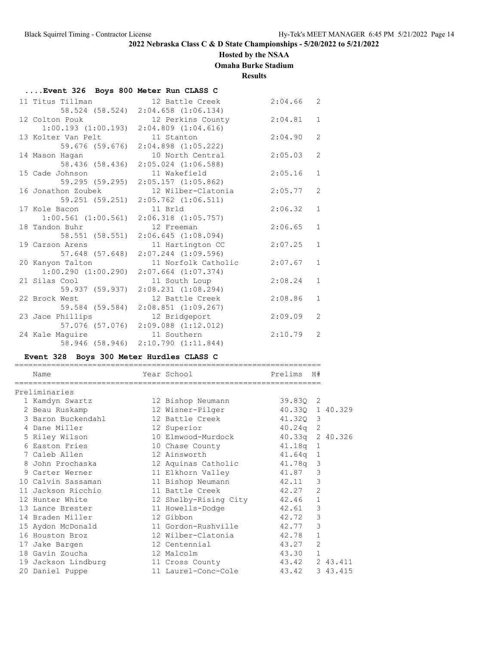**....Event 326 Boys 800 Meter Run CLASS C**

# **2022 Nebraska Class C & D State Championships - 5/20/2022 to 5/21/2022**

### **Hosted by the NSAA**

**Omaha Burke Stadium**

**Results**

| 11 Titus Tillman        | 12 Battle Creek                     | 2:04.66 | $\overline{2}$ |
|-------------------------|-------------------------------------|---------|----------------|
|                         | 58.524 (58.524) 2:04.658 (1:06.134) |         |                |
| 12 Colton Pouk          | 12 Perkins County                   | 2:04.81 | $\mathbf{1}$   |
| $1:00.193$ $(1:00.193)$ | $2:04.809$ $(1:04.616)$             |         |                |
| 13 Kolter Van Pelt      | 11 Stanton                          | 2:04.90 | $\overline{2}$ |
| 59.676 (59.676)         | $2:04.898$ $(1:05.222)$             |         |                |
| 14 Mason Haqan          | 10 North Central                    | 2:05.03 | $\overline{2}$ |
| 58.436 (58.436)         | $2:05.024$ $(1:06.588)$             |         |                |
| 15 Cade Johnson         | 11 Wakefield                        | 2:05.16 | $\mathbf{1}$   |
| 59.295 (59.295)         | $2:05.157$ $(1:05.862)$             |         |                |
| 16 Jonathon Zoubek      | 12 Wilber-Clatonia                  | 2:05.77 | 2              |
| 59.251 (59.251)         | $2:05.762$ $(1:06.511)$             |         |                |
| 17 Kole Bacon           | 11 Brld                             | 2:06.32 | $\mathbf{1}$   |
| $1:00.561$ $(1:00.561)$ | $2:06.318$ $(1:05.757)$             |         |                |
| 18 Tandon Buhr          | 12 Freeman                          | 2:06.65 | $\mathbf{1}$   |
| 58.551 (58.551)         | 2:06.645(1:08.094)                  |         |                |
| 19 Carson Arens         | 11 Hartington CC                    | 2:07.25 | $\mathbf{1}$   |
| 57.648 (57.648)         | $2:07.244$ $(1:09.596)$             |         |                |
| 20 Kanyon Talton        | 11 Norfolk Catholic                 | 2:07.67 | $\mathbf{1}$   |
| 1:00.290(1:00.290)      | $2:07.664$ $(1:07.374)$             |         |                |
| 21 Silas Cool           | 11 South Loup                       | 2:08.24 | $\mathbf{1}$   |
| 59.937 (59.937)         | $2:08.231$ $(1:08.294)$             |         |                |
| 22 Brock West           | 12 Battle Creek                     | 2:08.86 | $\mathbf{1}$   |
| 59.584 (59.584)         | $2:08.851$ $(1:09.267)$             |         |                |
| 23 Jace Phillips        | 12 Bridgeport                       | 2:09.09 | $\overline{2}$ |
| 57.076 (57.076)         | $2:09.088$ $(1:12.012)$             |         |                |
| 24 Kale Maquire         | 11 Southern                         | 2:10.79 | 2              |
| 58.946 (58.946)         | 2:10.790(1:11.844)                  |         |                |
|                         |                                     |         |                |

# **Event 328 Boys 300 Meter Hurdles CLASS C**

| Name                | Year School                        | Prelims        | H#             |  |
|---------------------|------------------------------------|----------------|----------------|--|
| Preliminaries       |                                    |                |                |  |
| 1 Kamdyn Swartz     | 12 Bishop Neumann                  | 39.830 2       |                |  |
| 2 Beau Ruskamp      | 12 Wisner-Pilger 40.33Q 1 40.329   |                |                |  |
| 3 Baron Buckendahl  | 12 Battle Creek                    | 41.320 3       |                |  |
| 4 Dane Miller       | 12 Superior                        | $40.24q$ 2     |                |  |
| 5 Riley Wilson      | 10 Elmwood-Murdock 40.33q 2 40.326 |                |                |  |
| 6 Easton Fries      | 10 Chase County                    | 41.18q 1       |                |  |
| 7 Caleb Allen       | 12 Ainsworth                       | 41.64q 1       |                |  |
| 8 John Prochaska    | 12 Aquinas Catholic                | 41.78q 3       |                |  |
| 9 Carter Werner     | 11 Elkhorn Valley 41.87 3          |                |                |  |
| 10 Calvin Sassaman  | 11 Bishop Neumann 42.11 3          |                |                |  |
| 11 Jackson Ricchio  | 11 Battle Creek                    | 42.27 2        |                |  |
| 12 Hunter White     | 12 Shelby-Rising City 42.46        |                | $\mathbf{1}$   |  |
| 13 Lance Brester    | 11 Howells-Dodge                   | 42.61          | $\mathcal{S}$  |  |
| 14 Braden Miller    | 12 Gibbon                          | 42.72          | 3              |  |
| 15 Aydon McDonald   | 11 Gordon-Rushville 42.77          |                | 3              |  |
| 16 Houston Broz     | 12 Wilber-Clatonia                 | 42.78          | $\mathbf{1}$   |  |
| 17 Jake Bargen      | 12 Centennial                      | 43.27          | $\overline{2}$ |  |
| 18 Gavin Zoucha     | 12 Malcolm                         | 43.30 1        |                |  |
| 19 Jackson Lindburg | 11 Cross County                    | 43.42 2 43.411 |                |  |
| 20 Daniel Puppe     | 11 Laurel-Conc-Cole 43.42 3 43.415 |                |                |  |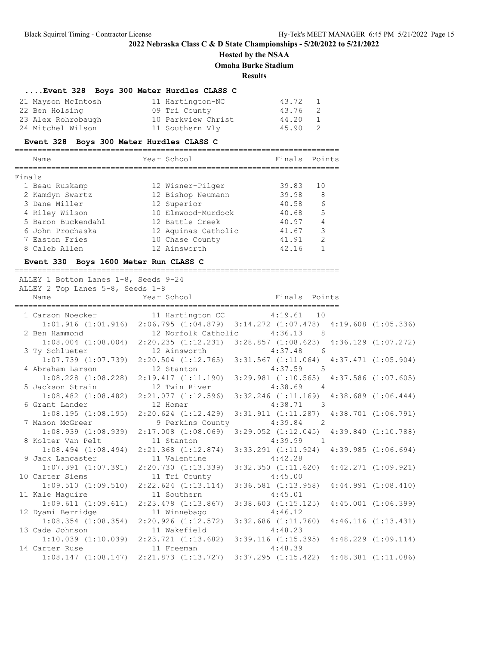## **Hosted by the NSAA Omaha Burke Stadium**

**Results**

|                    |  |  | Event 328 Boys 300 Meter Hurdles CLASS C |       |                |
|--------------------|--|--|------------------------------------------|-------|----------------|
| 21 Mayson McIntosh |  |  | 11 Hartington-NC                         | 43.72 | $\overline{1}$ |
| 22 Ben Holsing     |  |  | 09 Tri County                            | 43.76 | - 2            |
| 23 Alex Rohrobaugh |  |  | 10 Parkview Christ                       | 44.20 | $\overline{1}$ |
| 24 Mitchel Wilson  |  |  | 11 Southern Vly                          | 45.90 | - 2            |

### **Event 328 Boys 300 Meter Hurdles CLASS C**

|        | Name               | Year School         | Finals Points |     |
|--------|--------------------|---------------------|---------------|-----|
|        |                    |                     |               |     |
| Finals |                    |                     |               |     |
|        | 1 Beau Ruskamp     | 12 Wisner-Pilger    | 39.83         | 1 O |
|        | 2 Kamdyn Swartz    | 12 Bishop Neumann   | 39.98         | 8   |
|        | 3 Dane Miller      | 12 Superior         | 40.58         | 6   |
|        | 4 Riley Wilson     | 10 Elmwood-Murdock  | 40.68         | 5   |
|        | 5 Baron Buckendahl | 12 Battle Creek     | 40.97         |     |
|        | 6 John Prochaska   | 12 Aquinas Catholic | 41.67         | 3   |
|        | 7 Easton Fries     | 10 Chase County     | 41.91         | っ   |
|        | 8 Caleb Allen      | 12 Ainsworth        | 42.16         |     |

### **Event 330 Boys 1600 Meter Run CLASS C**

=======================================================================

| ALLEY 1 Bottom Lanes 1-8, Seeds 9-24<br>ALLEY 2 Top Lanes 5-8, Seeds 1-8 |                                                 |                                                                                                 |  |
|--------------------------------------------------------------------------|-------------------------------------------------|-------------------------------------------------------------------------------------------------|--|
|                                                                          |                                                 |                                                                                                 |  |
| 1 Carson Noecker 11 Hartington CC 4:19.61 10                             |                                                 |                                                                                                 |  |
|                                                                          |                                                 | 1:01.916 (1:01.916) 2:06.795 (1:04.879) 3:14.272 (1:07.478) 4:19.608 (1:05.336)                 |  |
| 2 Ben Hammond 12 Norfolk Catholic 4:36.13 8                              |                                                 |                                                                                                 |  |
|                                                                          |                                                 | $1:08.004 (1:08.004) 2:20.235 (1:12.231) 3:28.857 (1:08.623) 4:36.129 (1:07.272)$               |  |
| 3 Ty Schlueter                                                           |                                                 | 12 Ainsworth 4:37.48 6                                                                          |  |
|                                                                          |                                                 | 1:07.739 (1:07.739) 2:20.504 (1:12.765) 3:31.567 (1:11.064) 4:37.471 (1:05.904)                 |  |
| 4 Abraham Larson 12 Stanton 12 37.59 5                                   |                                                 |                                                                                                 |  |
|                                                                          |                                                 | 1:08.228 (1:08.228) 2:19.417 (1:11.190) 3:29.981 (1:10.565) 4:37.586 (1:07.605)                 |  |
| 5 Jackson Strain 12 Twin River 5 4:38.69 4                               |                                                 |                                                                                                 |  |
|                                                                          |                                                 | $1:08.482$ (1:08.482) 2:21.077 (1:12.596) 3:32.246 (1:11.169) 4:38.689 (1:06.444)               |  |
| 6 Grant Lander 12 Homer                                                  |                                                 | $4:38.71$ 3                                                                                     |  |
|                                                                          | $1:08.195$ $(1:08.195)$ $2:20.624$ $(1:12.429)$ | $3:31.911 (1:11.287) 4:38.701 (1:06.791)$                                                       |  |
| 7 Mason McGreer                                                          |                                                 | 9 Perkins County 4:39.84 2                                                                      |  |
|                                                                          |                                                 | 1:08.939 (1:08.939) 2:17.008 (1:08.069) 3:29.052 (1:12.045) 4:39.840 (1:10.788)                 |  |
| 8 Kolter Van Pelt 11 Stanton                                             |                                                 | $4:39.99$ 1                                                                                     |  |
|                                                                          |                                                 | 1:08.494 (1:08.494) 2:21.368 (1:12.874) 3:33.291 (1:11.924) 4:39.985 (1:06.694)                 |  |
| 9 Jack Lancaster 11 Valentine 4:42.28                                    |                                                 |                                                                                                 |  |
|                                                                          |                                                 | $1:07.391$ $(1:07.391)$ $2:20.730$ $(1:13.339)$ $3:32.350$ $(1:11.620)$ $4:42.271$ $(1:09.921)$ |  |
| 10 Carter Siems                                                          | 11 Tri County                                   | 4:45.00                                                                                         |  |
|                                                                          |                                                 | 1:09.510 (1:09.510) 2:22.624 (1:13.114) 3:36.581 (1:13.958) 4:44.991 (1:08.410)                 |  |
| 11 Kale Maguire                                                          | 11 Southern                                     | 4:45.01                                                                                         |  |
|                                                                          |                                                 | $1:09.611$ $(1:09.611)$ $2:23.478$ $(1:13.867)$ $3:38.603$ $(1:15.125)$ $4:45.001$ $(1:06.399)$ |  |
| 12 Dyami Berridge 11 Winnebago                                           |                                                 | 4:46.12                                                                                         |  |
|                                                                          |                                                 | $1:08.354$ (1:08.354) $2:20.926$ (1:12.572) $3:32.686$ (1:11.760) $4:46.116$ (1:13.431)         |  |
| 13 Cade Johnson                                                          | 11 Wakefield                                    | 4:48.23                                                                                         |  |
|                                                                          |                                                 | 1:10.039 (1:10.039) 2:23.721 (1:13.682) 3:39.116 (1:15.395) 4:48.229 (1:09.114)                 |  |
| 14 Carter Ruse                                                           | 11 Freeman 4:48.39                              |                                                                                                 |  |
|                                                                          |                                                 | $1:08.147$ $(1:08.147)$ $2:21.873$ $(1:13.727)$ $3:37.295$ $(1:15.422)$ $4:48.381$ $(1:11.086)$ |  |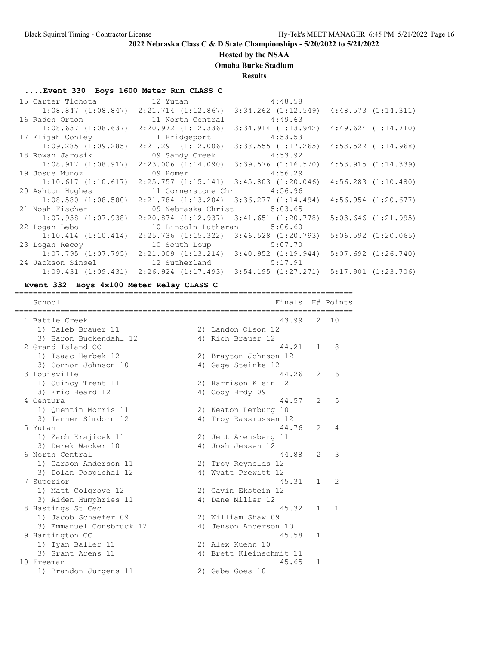### **Hosted by the NSAA**

**Omaha Burke Stadium**

**Results**

### **....Event 330 Boys 1600 Meter Run CLASS C**

|                                                                                    |                                                                         | $1:08.847$ (1:08.847) 2:21.714 (1:12.867) 3:34.262 (1:12.549) 4:48.573 (1:14.311)               |                         |
|------------------------------------------------------------------------------------|-------------------------------------------------------------------------|-------------------------------------------------------------------------------------------------|-------------------------|
| 16 Raden Orton 11 North Central 4:49.63                                            |                                                                         |                                                                                                 |                         |
| $1:08.637$ $(1:08.637)$ $2:20.972$ $(1:12.336)$                                    |                                                                         | $3:34.914$ $(1:13.942)$                                                                         | $4:49.624$ $(1:14.710)$ |
| 17 Elijah Conley 11 Bridgeport 4:53.53                                             |                                                                         |                                                                                                 |                         |
|                                                                                    | $1:09.285$ $(1:09.285)$ $2:21.291$ $(1:12.006)$ $3:38.555$ $(1:17.265)$ |                                                                                                 | $4:53.522$ $(1:14.968)$ |
| 18 Rowan Jarosik                                                                   | 09 Sandy Creek                                                          | 4:53.92                                                                                         |                         |
|                                                                                    |                                                                         | $1:08.917$ $(1:08.917)$ $2:23.006$ $(1:14.090)$ $3:39.576$ $(1:16.570)$ $4:53.915$ $(1:14.339)$ |                         |
| 19 Josue Munoz 6.29 (19 Josue Munoz 6.29 (19 Josue Munoz 6.29 (19 Josue 19 Joseph) |                                                                         |                                                                                                 |                         |
|                                                                                    | $1:10.617$ $(1:10.617)$ $2:25.757$ $(1:15.141)$ $3:45.803$ $(1:20.046)$ |                                                                                                 | $4:56.283$ $(1:10.480)$ |
| 20 Ashton Hughes 11 Cornerstone Chr 4:56.96                                        |                                                                         |                                                                                                 |                         |
|                                                                                    | $1:08.580$ $(1:08.580)$ $2:21.784$ $(1:13.204)$ $3:36.277$ $(1:14.494)$ |                                                                                                 | 4:56.954 (1:20.677)     |
| 21 Noah Fischer 69 Nebraska Christ 5:03.65                                         |                                                                         |                                                                                                 |                         |
|                                                                                    | $1:07.938$ $(1:07.938)$ $2:20.874$ $(1:12.937)$ $3:41.651$ $(1:20.778)$ |                                                                                                 | $5:03.646$ $(1:21.995)$ |
| 22 Logan Lebo                                                                      | 10 Lincoln Lutheran 5:06.60                                             |                                                                                                 |                         |
|                                                                                    | $1:10.414$ $(1:10.414)$ $2:25.736$ $(1:15.322)$ $3:46.528$ $(1:20.793)$ |                                                                                                 | $5:06.592$ $(1:20.065)$ |
| 23 Logan Recoy                                                                     | 10 South Loup 5:07.70                                                   |                                                                                                 |                         |
|                                                                                    |                                                                         | $1:07.795$ $(1:07.795)$ $2:21.009$ $(1:13.214)$ $3:40.952$ $(1:19.944)$ $5:07.692$ $(1:26.740)$ |                         |
| 24 Jackson Sinsel 12 Sutherland 5:17.91                                            |                                                                         |                                                                                                 |                         |
|                                                                                    |                                                                         | $1:09.431$ $(1:09.431)$ $2:26.924$ $(1:17.493)$ $3:54.195$ $(1:27.271)$ $5:17.901$ $(1:23.706)$ |                         |

**Event 332 Boys 4x100 Meter Relay CLASS C**

| School                   | Finals                  |    | H# Points     |
|--------------------------|-------------------------|----|---------------|
| 1 Battle Creek           | 43.99                   | 2  | 10            |
| 1) Caleb Brauer 11       | 2) Landon Olson 12      |    |               |
| 3) Baron Buckendahl 12   | 4) Rich Brauer 12       |    |               |
| 2 Grand Island CC        | 44.21                   | 1. | 8             |
| 1) Isaac Herbek 12       | 2) Brayton Johnson 12   |    |               |
| 3) Connor Johnson 10     | 4) Gage Steinke 12      |    |               |
| 3 Louisville             | 44.26                   | 2  | 6             |
| 1) Quincy Trent 11       | 2) Harrison Klein 12    |    |               |
| 3) Eric Heard 12         | 4) Cody Hrdy 09         |    |               |
| 4 Centura                | 44.57                   | 2  | 5             |
| 1) Ouentin Morris 11     | 2) Keaton Lemburg 10    |    |               |
| 3) Tanner Simdorn 12     | 4) Troy Rassmussen 12   |    |               |
| 5 Yutan                  | 44.76                   | 2  | 4             |
| 1) Zach Krajicek 11      | 2) Jett Arensberg 11    |    |               |
| 3) Derek Wacker 10       | 4) Josh Jessen 12       |    |               |
| 6 North Central          | 44.88                   | 2  | 3             |
| 1) Carson Anderson 11    | 2) Troy Reynolds 12     |    |               |
| 3) Dolan Pospichal 12    | 4) Wyatt Prewitt 12     |    |               |
| 7 Superior               | 45.31                   | 1  | $\mathcal{L}$ |
| 1) Matt Colgrove 12      | 2) Gavin Ekstein 12     |    |               |
| 3) Aiden Humphries 11    | 4) Dane Miller 12       |    |               |
| 8 Hastings St Cec        | 45.32                   | 1. | 1             |
| 1) Jacob Schaefer 09     | 2) William Shaw 09      |    |               |
| 3) Emmanuel Consbruck 12 | 4) Jenson Anderson 10   |    |               |
| 9 Hartington CC          | 45.58                   | 1  |               |
| 1) Tyan Baller 11        | 2) Alex Kuehn 10        |    |               |
| 3) Grant Arens 11        | 4) Brett Kleinschmit 11 |    |               |
| 10 Freeman               | 45.65                   | 1  |               |
| 1) Brandon Jurgens 11    | 2) Gabe Goes 10         |    |               |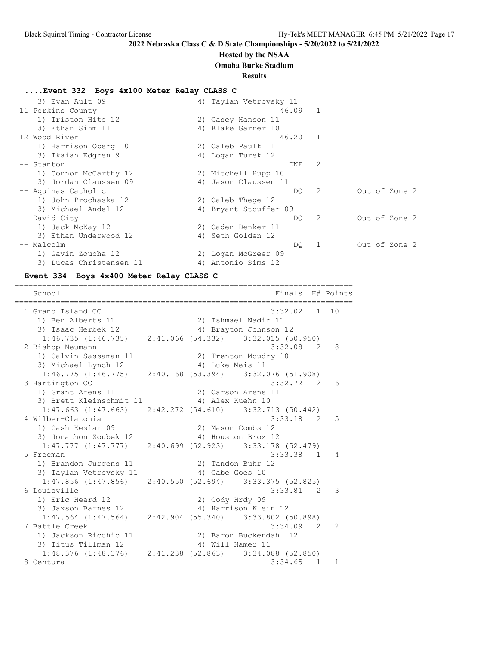#### **Hosted by the NSAA**

**Omaha Burke Stadium**

#### **Results**

#### **....Event 332 Boys 4x100 Meter Relay CLASS C**

| 3) Evan Ault 09         | 4) Taylan Vetrovsky 11 |         |              |               |
|-------------------------|------------------------|---------|--------------|---------------|
| 11 Perkins County       |                        | 46.09 1 |              |               |
| 1) Triston Hite 12      | 2) Casey Hanson 11     |         |              |               |
| 3) Ethan Sihm 11        | 4) Blake Garner 10     |         |              |               |
| 12 Wood River           |                        | 46.20 1 |              |               |
| 1) Harrison Oberg 10    | 2) Caleb Paulk 11      |         |              |               |
| 3) Ikaiah Edgren 9      | 4) Logan Turek 12      |         |              |               |
| -- Stanton              |                        | DNF     | 2            |               |
| 1) Connor McCarthy 12   | 2) Mitchell Hupp 10    |         |              |               |
| 3) Jordan Claussen 09   | 4) Jason Claussen 11   |         |              |               |
| -- Aquinas Catholic     |                        | DQ 2    |              | Out of Zone 2 |
| 1) John Prochaska 12    | 2) Caleb Thege 12      |         |              |               |
| 3) Michael Andel 12     | 4) Bryant Stouffer 09  |         |              |               |
| -- David City           |                        | DQ —    | -2           | Out of Zone 2 |
| 1) Jack McKay 12        | 2) Caden Denker 11     |         |              |               |
| 3) Ethan Underwood 12   | 4) Seth Golden 12      |         |              |               |
| -- Malcolm              |                        | DQ —    | $\mathbf{1}$ | Out of Zone 2 |
| 1) Gavin Zoucha 12      | 2) Logan McGreer 09    |         |              |               |
| 3) Lucas Christensen 11 | 4) Antonio Sims 12     |         |              |               |

#### **Event 334 Boys 4x400 Meter Relay CLASS C**

========================================================================== School **Finals** H# Points ========================================================================== 1 Grand Island CC 3:32.02 1 10 1) Ben Alberts 11 2) Ishmael Nadir 11 3) Isaac Herbek 12 4) Brayton Johnson 12 1:46.735 (1:46.735) 2:41.066 (54.332) 3:32.015 (50.950) 2 Bishop Neumann 3:32.08 2 8 1) Calvin Sassaman 11 2) Trenton Moudry 10 3) Michael Lynch 12 (4) Luke Meis 11 1:46.775 (1:46.775) 2:40.168 (53.394) 3:32.076 (51.908) 3 Hartington CC 3:32.72 2 6 1) Grant Arens 11 2) Carson Arens 11 3) Brett Kleinschmit 11 <a>
4) Alex Kuehn 10 1:47.663 (1:47.663) 2:42.272 (54.610) 3:32.713 (50.442) 4 Wilber-Clatonia 3:33.18 2 5 1) Cash Keslar 09 2) Mason Combs 12 3) Jonathon Zoubek 12 (4) Houston Broz 12 1:47.777 (1:47.777) 2:40.699 (52.923) 3:33.178 (52.479) 5 Freeman 3:33.38 1 4<br>1) Brandon Jurgens 11 2) Tandon Buhr 12 1) Brandon Jurgens 11 2) Tandon Buhr 12 3) Taylan Vetrovsky 11 <a>>4) Gabe Goes 10 1:47.856 (1:47.856) 2:40.550 (52.694) 3:33.375 (52.825) 6 Louisville 3:33.81 2 3 1) Eric Heard 12 2) Cody Hrdy 09 3) Jaxson Barnes 12 (4) Harrison Klein 12 1:47.564 (1:47.564) 2:42.904 (55.340) 3:33.802 (50.898) 7 Battle Creek 3:34.09 2 2 1) Jackson Ricchio 11 2) Baron Buckendahl 12 3) Titus Tillman 12 (4) Will Hamer 11 1:48.376 (1:48.376) 2:41.238 (52.863) 3:34.088 (52.850) 8 Centura 3:34.65 1 1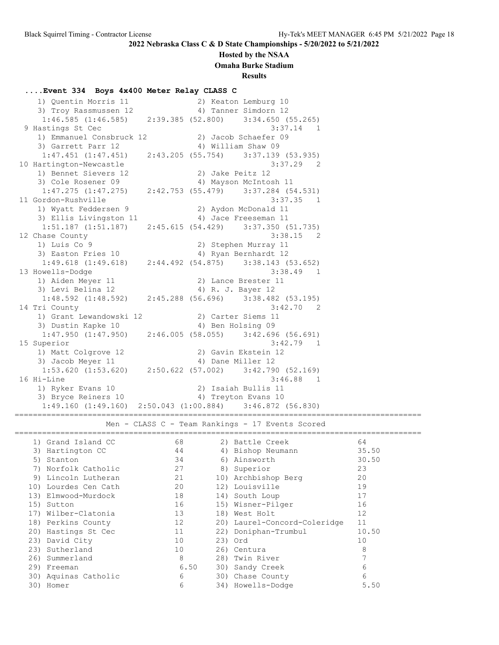#### **Hosted by the NSAA**

**Omaha Burke Stadium**

**Results**

#### **....Event 334 Boys 4x400 Meter Relay CLASS C**

 1) Quentin Morris 11 2) Keaton Lemburg 10 3) Troy Rassmussen 12 1988 (1898) Anner Simdorn 12 1:46.585 (1:46.585) 2:39.385 (52.800) 3:34.650 (55.265) 9 Hastings St Cec 3:37.14 1 1) Emmanuel Consbruck 12 2) Jacob Schaefer 09 3) Garrett Parr 12 4) William Shaw 09 1:47.451 (1:47.451) 2:43.205 (55.754) 3:37.139 (53.935) 10 Hartington-Newcastle 3:37.29 2 1) Bennet Sievers 12 2) Jake Peitz 12 3) Cole Rosener 09 4) Mayson McIntosh 11 1:47.275 (1:47.275) 2:42.753 (55.479) 3:37.284 (54.531) 11 Gordon-Rushville 3:37.35 1 1) Wyatt Feddersen 9 2) Aydon McDonald 11 3) Ellis Livingston 11 (4) Jace Freeseman 11 1:51.187 (1:51.187) 2:45.615 (54.429) 3:37.350 (51.735) 12 Chase County 2:38.15 2 1) Luis Co 9 2) Stephen Murray 11 3) Easton Fries 10 1988 10 12 12 1:49.618 (1:49.618) 2:44.492 (54.875) 3:38.143 (53.652) 13 Howells-Dodge 3:38.49 1 1) Aiden Meyer 11 2) Lance Brester 11 3) Levi Belina 12 (4) R. J. Bayer 12 1:48.592 (1:48.592) 2:45.288 (56.696) 3:38.482 (53.195) 14 Tri County 3:42.70 2 1) Grant Lewandowski 12 2) Carter Siems 11 3) Dustin Kapke 10 4) Ben Holsing 09 1:47.950 (1:47.950) 2:46.005 (58.055) 3:42.696 (56.691) 15 Superior 3:42.79 1 1) Matt Colgrove 12 2) Gavin Ekstein 12 3) Jacob Meyer 11 4) Dane Miller 12 1:53.620 (1:53.620) 2:50.622 (57.002) 3:42.790 (52.169) 16 Hi-Line 3:46.88 1 1) Ryker Evans 10 2) Isaiah Bullis 11 3) Bryce Reiners 10 (4) Treyton Evans 10 1:49.160 (1:49.160) 2:50.043 (1:00.884) 3:46.872 (56.830) ========================================================================================= Men - CLASS C - Team Rankings - 17 Events Scored ========================================================================================= 1) Grand Island CC 68 2) Battle Creek 64 3) Hartington CC 44 4 4 4 Hishop Neumann 35.50 5) Stanton 34 6) Ainsworth 30.50 7) Norfolk Catholic 27 8) Superior 23 9) Lincoln Lutheran 21 10) Archbishop Berg 20 10) Lourdes Cen Cath 20 12) Louisville 19 13) Elmwood-Murdock 18 14) South Loup 17 15) Sutton 16 15) Wisner-Pilger 16 17) Wilber-Clatonia 13 18) West Holt 12 18) Perkins County 12 20) Laurel-Concord-Coleridge 11 20) Hastings St Cec 11 22) Doniphan-Trumbul 10.50 23) David City 10 23) Ord 10 23) Sutherland 10 26) Centura 8 26) Summerland 8 28) Twin River 7 29) Freeman 6.50 30) Sandy Creek 6

 30) Aquinas Catholic 6 30) Chase County 6 30) Homer 6 34) Howells-Dodge 5.50